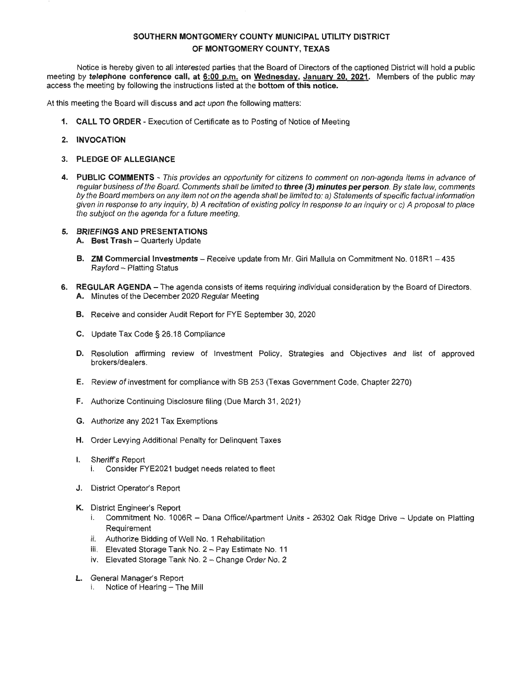Notice is hereby given to all interested parties that the Board of Directors of the captioned District will hold a public meeting by **telephone conference call, at 6:00 p.m. on Wednesday, January 20, 2021.** Members of the public may access the meeting by following the instructions listed at the **bottom of this notice.** 

At this meeting the Board will discuss and act upon the following matters:

- **1. CALL TO ORDER**  Execution of Certificate as to Posting of Notice of Meeting
- **2. INVOCATION**
- **3. PLEDGE OF ALLEGIANCE**
- **4. PUBLIC COMMENTS**  This provides an opportunity for citizens to comment on non-agenda items in advance of regular business of the Board. Comments shall be limited to **three (3) minutes per person.** By state law, comments by the Board members on any item not on the agenda shall be limited to: a) Statements of specific factual information given in response to any inquiry, b) A recitation of existing policy in response to an inquiry or c) A proposal to place the subject on the agenda for a future meeting.

#### **5. BRIEFINGS AND PRESENTATIONS**

- **A.** Best Trash Quarterly Update
- **B. ZM Commercial Investments**  Receive update from Mr. Giri Mallula on Commitment No. 018R1 435 Rayford - Platting Status
- **6. REGULAR AGENDA**  The agenda consists of items requiring individual consideration by the Board of Directors. **A.** Minutes of the December 2020 Regular Meeting
	- **B.** Receive and consider Audit Report for FYE September 30, 2020
	- **C.** Update Tax Code§ 26.18 Compliance
	- **D.** Resolution affirming review of Investment Policy, Strategies and Objectives and list of approved brokers/dealers.
	- **E.** Review of investment for compliance with SB 253 (Texas Government Code, Chapter 2270)
	- **F.** Authorize Continuing Disclosure filing (Due March 31, 2021)
	- **G.** Authorize any 2021 Tax Exemptions
	- **H.** Order Levying Additional Penalty for Delinquent Taxes
	- I. Sheriff's Report i. Consider FYE2021 budget needs related to fleet
	- **J.** District Operator's Report
	- **K.** District Engineer's Report
		- i. Commitment No. 1006R Dana Office/Apartment Units 26302 Oak Ridge Drive Update on Platting Requirement
		- ii. Authorize Bidding of Well No. 1 Rehabilitation
		- iii. Elevated Storage Tank No. 2 Pay Estimate No. 11
		- iv. Elevated Storage Tank No. 2 Change Order No. 2
	- **L.** General Manager's Report
		- i. Notice of Hearing The Mill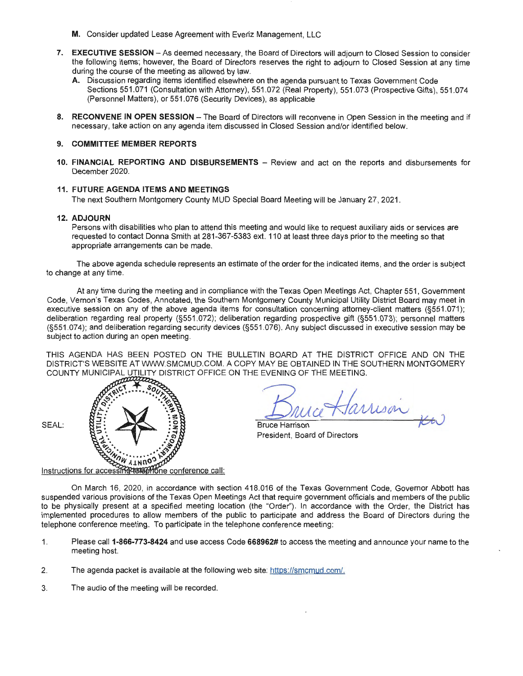- **M.** Consider updated Lease Agreement with Everiz Management, LLC
- **7. EXECUTIVE SESSION** -As deemed necessary, the Board of Directors will adjourn to Closed Session to consider the following items; however, the Board of Directors reserves the right to adjourn to Closed Session at any time during the course of the meeting as allowed by law.
	- **A.** Discussion regarding items identified elsewhere on the agenda pursuant to Texas Government Code Sections 551.071 (Consultation with Attorney), 551.072 (Real Property), 551.073 (Prospective Gifts), 551.074 (Personnel Matters), or 551.076 (Security Devices), as applicable
- 8. RECONVENE IN OPEN SESSION The Board of Directors will reconvene in Open Session in the meeting and if necessary, take action on any agenda item discussed in Closed Session and/or identified below.

10. FINANCIAL REPORTING AND DISBURSEMENTS - Review and act on the reports and disbursements for December 2020.

#### **11. FUTURE AGENDA ITEMS AND MEETINGS**

The next Southern Montgomery County MUD Special Board Meeting will be January 27, 2021.

#### **12. ADJOURN**

Persons with disabilities who plan to attend this meeting and would like to request auxiliary aids or services are requested to contact Donna Smith at 281-367-5383 ext. 11 O at least three days prior to the meeting so that appropriate arrangements can be made.

The above agenda schedule represents an estimate of the order for the indicated items, and the order is subject to change at any time.

At any time during the meeting and in compliance with the Texas Open Meetings Act, Chapter 551, Government Code, Vernon's Texas Codes, Annotated, the Southern Montgomery County Municipal Utility District Board may meet in executive session on any of the above agenda items for consultation concerning attorney-client matters (§551.071); deliberation regarding real property (§551.072); deliberation regarding prospective gift (§551.073); personnel matters (§551.074); and deliberation regarding security devices (§551.076). Any subject discussed in executive session may be subject to action during an open meeting.

THIS AGENDA HAS BEEN POSTED ON THE BULLETIN BOARD AT THE DISTRICT OFFICE AND ON THE DISTRICT'S WEBSITE AT WWW.SMCMUD.COM. A COPY MAY BE OBTAINED IN THE SOUTHERN MONTGOMERY COUNTY MUNICIPAL UTILITY DISTRICT OFFICE ON THE EVENING OF THE MEETING .



mison

Bruce Harrison President, Board of Directors

Instructions for accessing term on conference call:

On March 16, 2020, in accordance with section 418.016 of the Texas Government Code, Governor Abbott has suspended various provisions of the Texas Open Meetings Act that require government officials and members of the public to be physically present at a specified meeting location (the "Order"). In accordance with the Order, the District has implemented procedures to allow members of the public to participate and address the Board of Directors during the telephone conference meeting. To participate in the telephone conference meeting:

- 1. Please call **1-866-773-8424** and use access Code **668962#** to access the meeting and announce your name to the meeting host.
- 2. The agenda packet is available at the following web site: https://smcmud.com/.
- 3. The audio of the meeting will be recorded.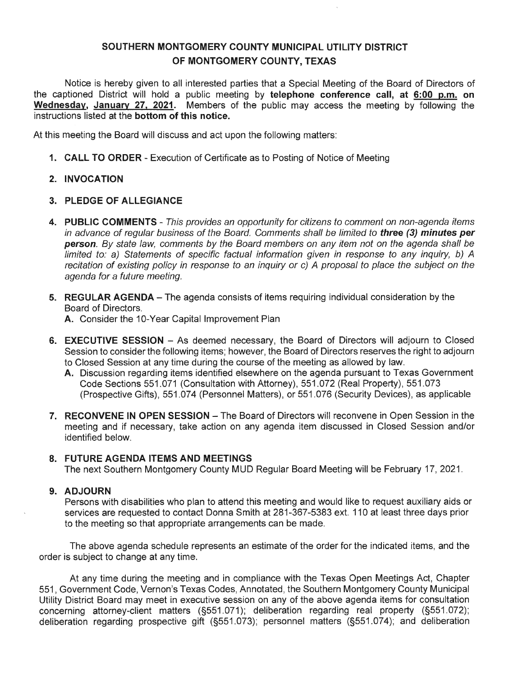Notice is hereby given to all interested parties that a Special Meeting of the Board of Directors of the captioned District will hold a public meeting by **telephone conference call, at 6:00 p.m. on Wednesday, January 27, 2021.** Members of the public may access the meeting by following the instructions listed at the **bottom of this notice.** 

At this meeting the Board will discuss and act upon the following matters:

**1. CALL TO ORDER** - Execution of Certificate as to Posting of Notice of Meeting

## **2. INVOCATION**

## **3. PLEDGE OF ALLEGIANCE**

- **4. PUBLIC COMMENTS**  This provides an opportunity for citizens to comment on non-agenda items in advance of regular business of the Board. Comments shall be limited to **three (3) minutes per person.** By state law, comments by the Board members on any item not on the agenda shall be limited to: a) Statements of specific factual information given in response to any inquiry, b) A recitation of existing policy in response to an inquiry or c) A proposal to place the subject on the agenda for a future meeting.
- **5. REGULAR AGENDA** The agenda consists of items requiring individual consideration by the Board of Directors.

**A.** Consider the 10-Year Capital Improvement Plan

- **6. EXECUTIVE SESSION** As deemed necessary, the Board of Directors will adjourn to Closed Session to consider the following items; however, the Board of Directors reserves the right to adjourn to Closed Session at any time during the course of the meeting as allowed by law.
	- **A.** Discussion regarding items identified elsewhere on the agenda pursuant to Texas Government Code Sections 551.071 (Consultation with Attorney), 551.072 (Real Property), 551 .073 (Prospective Gifts), 551 .074 (Personnel Matters), or 551 .076 (Security Devices), as applicable
- **7. RECONVENE IN OPEN SESSION** The Board of Directors will reconvene in Open Session in the meeting and if necessary, take action on any agenda item discussed in Closed Session and/or identified below.

### **8. FUTURE AGENDA ITEMS AND MEETINGS**

The next Southern Montgomery County MUD Regular Board Meeting will be February 17, 2021 .

## **9. ADJOURN**

Persons with disabilities who plan to attend this meeting and would like to request auxiliary aids or services are requested to contact Donna Smith at 281-367-5383 ext. 110 at least three days prior to the meeting so that appropriate arrangements can be made.

The above agenda schedule represents an estimate of the order for the indicated items, and the order is subject to change at any time.

At any time during the meeting and in compliance with the Texas Open Meetings Act, Chapter 551, Government Code, Vernon's Texas Codes, Annotated, the Southern Montgomery County Municipal Utility District Board may meet in executive session on any of the above agenda items for consultation concerning attorney-client matters (§551 .071); deliberation regarding real property (§551 .072); deliberation regarding prospective gift (§551.073); personnel matters (§551 .074); and deliberation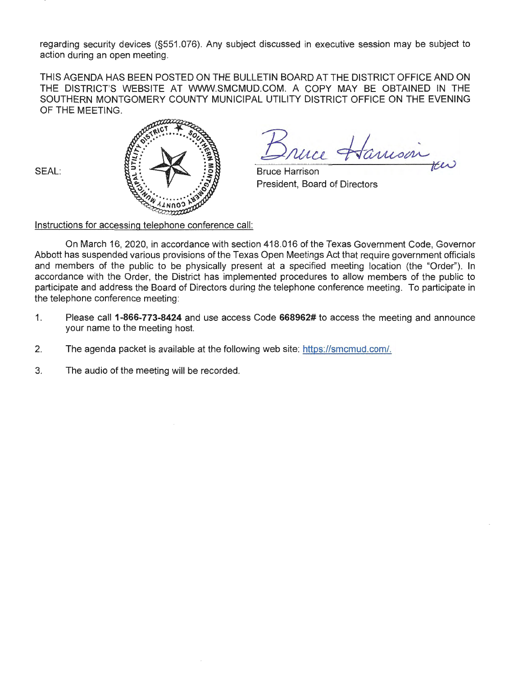regarding security devices (§551.076). Any subject discussed in executive session may be subject to action during an open meeting.

THIS AGENDA HAS BEEN POSTED ON THE BULLETIN BOARD AT THE DISTRICT OFFICE AND ON THE DISTRICT'S WEBSITE AT WWW.SMCMUD.COM. A COPY MAY BE OBTAINED IN THE SOUTHERN MONTGOMERY COUNTY MUNICIPAL UTILITY DISTRICT OFFICE ON THE EVENING OF THE MEETING.

SEAL:



un Hamson

Bruce Harrison President, Board of Directors

Instructions for accessing telephone conference call:

On March 16, 2020, in accordance with section 418.016 of the Texas Government Code, Governor Abbott has suspended various provisions of the Texas Open Meetings Act that require government officials and members of the public to be physically present at a specified meeting location (the "Order''). In accordance with the Order, the District has implemented procedures to allow members of the public to participate and address the Board of Directors during the telephone conference meeting. To participate in the telephone conference meeting:

- 1. Please call **1-866-773-8424** and use access Code **668962#** to access the meeting and announce your name to the meeting host.
- 2. The agenda packet is available at the following web site: https://smcmud.com/.
- 3. The audio of the meeting will be recorded.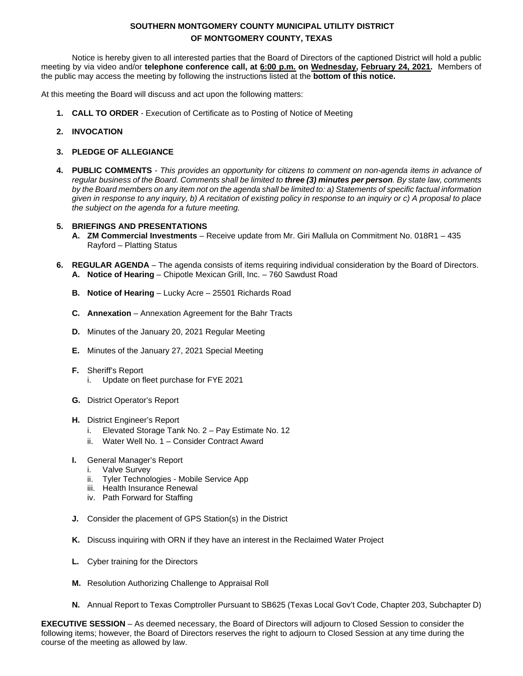Notice is hereby given to all interested parties that the Board of Directors of the captioned District will hold a public meeting by via video and/or **telephone conference call, at 6:00 p.m. on Wednesday, February 24, 2021.** Members of the public may access the meeting by following the instructions listed at the **bottom of this notice.**

At this meeting the Board will discuss and act upon the following matters:

- **1. CALL TO ORDER**  Execution of Certificate as to Posting of Notice of Meeting
- **2. INVOCATION**
- **3. PLEDGE OF ALLEGIANCE**
- **4. PUBLIC COMMENTS** *- This provides an opportunity for citizens to comment on non-agenda items in advance of regular business of the Board. Comments shall be limited to three (3) minutes per person. By state law, comments by the Board members on any item not on the agenda shall be limited to: a) Statements of specific factual information given in response to any inquiry, b) A recitation of existing policy in response to an inquiry or c) A proposal to place the subject on the agenda for a future meeting.*

#### **5. BRIEFINGS AND PRESENTATIONS**

- **A. ZM Commercial Investments**  Receive update from Mr. Giri Mallula on Commitment No. 018R1 435 Rayford – Platting Status
- **6. REGULAR AGENDA** The agenda consists of items requiring individual consideration by the Board of Directors. **A. Notice of Hearing** – Chipotle Mexican Grill, Inc. – 760 Sawdust Road
	- **B. Notice of Hearing** Lucky Acre 25501 Richards Road
	- **C. Annexation** Annexation Agreement for the Bahr Tracts
	- **D.** Minutes of the January 20, 2021 Regular Meeting
	- **E.** Minutes of the January 27, 2021 Special Meeting
	- **F.** Sheriff's Report i. Update on fleet purchase for FYE 2021
	- **G.** District Operator's Report
	- **H.** District Engineer's Report
		- i. Elevated Storage Tank No. 2 Pay Estimate No. 12
		- ii. Water Well No. 1 Consider Contract Award
	- **I.** General Manager's Report
		- i. Valve Survey
		- ii. Tyler Technologies Mobile Service App
		- iii. Health Insurance Renewal
		- iv. Path Forward for Staffing
	- **J.** Consider the placement of GPS Station(s) in the District
	- **K.** Discuss inquiring with ORN if they have an interest in the Reclaimed Water Project
	- **L.** Cyber training for the Directors
	- **M.** Resolution Authorizing Challenge to Appraisal Roll
	- **N.** Annual Report to Texas Comptroller Pursuant to SB625 (Texas Local Gov't Code, Chapter 203, Subchapter D)

**EXECUTIVE SESSION** – As deemed necessary, the Board of Directors will adjourn to Closed Session to consider the following items; however, the Board of Directors reserves the right to adjourn to Closed Session at any time during the course of the meeting as allowed by law.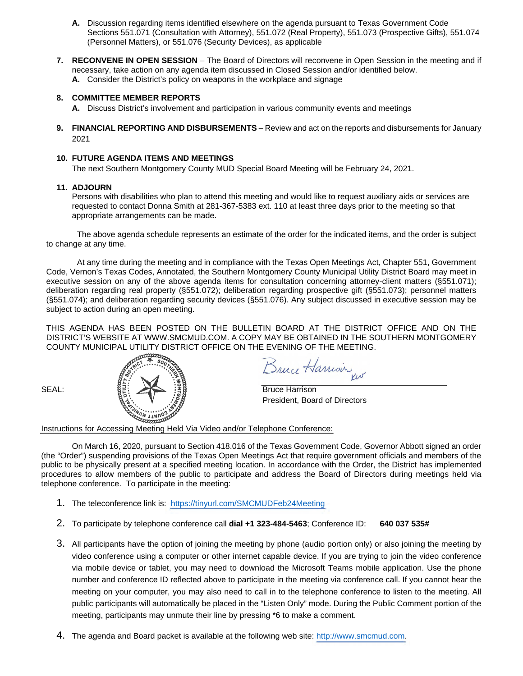- **A.** Discussion regarding items identified elsewhere on the agenda pursuant to Texas Government Code Sections 551.071 (Consultation with Attorney), 551.072 (Real Property), 551.073 (Prospective Gifts), 551.074 (Personnel Matters), or 551.076 (Security Devices), as applicable
- **7. RECONVENE IN OPEN SESSION** The Board of Directors will reconvene in Open Session in the meeting and if necessary, take action on any agenda item discussed in Closed Session and/or identified below. **A.** Consider the District's policy on weapons in the workplace and signage

- **A.** Discuss District's involvement and participation in various community events and meetings
- **9. FINANCIAL REPORTING AND DISBURSEMENTS**  Review and act on the reports and disbursements for January 2021

#### **10. FUTURE AGENDA ITEMS AND MEETINGS**

The next Southern Montgomery County MUD Special Board Meeting will be February 24, 2021.

#### **11. ADJOURN**

Persons with disabilities who plan to attend this meeting and would like to request auxiliary aids or services are requested to contact Donna Smith at 281-367-5383 ext. 110 at least three days prior to the meeting so that appropriate arrangements can be made.

The above agenda schedule represents an estimate of the order for the indicated items, and the order is subject to change at any time.

At any time during the meeting and in compliance with the Texas Open Meetings Act, Chapter 551, Government Code, Vernon's Texas Codes, Annotated, the Southern Montgomery County Municipal Utility District Board may meet in executive session on any of the above agenda items for consultation concerning attorney-client matters (§551.071); deliberation regarding real property (§551.072); deliberation regarding prospective gift (§551.073); personnel matters (§551.074); and deliberation regarding security devices (§551.076). Any subject discussed in executive session may be subject to action during an open meeting.

THIS AGENDA HAS BEEN POSTED ON THE BULLETIN BOARD AT THE DISTRICT OFFICE AND ON THE DISTRICT'S WEBSITE AT WWW.SMCMUD.COM. A COPY MAY BE OBTAINED IN THE SOUTHERN MONTGOMERY COUNTY MUNICIPAL UTILITY DISTRICT OFFICE ON THE EVENING OF THE MEETING.



Bruce Harrison

President, Board of Directors

Instructions for Accessing Meeting Held Via Video and/or Telephone Conference:

- 1. The teleconference link is: https://tinyurl.com/SMCMUDFeb24Meeting
- 2. To participate by telephone conference call **dial +1 323-484-5463**; Conference ID: **640 037 535#**
- 3. All participants have the option of joining the meeting by phone (audio portion only) or also joining the meeting by video conference using a computer or other internet capable device. If you are trying to join the video conference via mobile device or tablet, you may need to download the Microsoft Teams mobile application. Use the phone number and conference ID reflected above to participate in the meeting via conference call. If you cannot hear the meeting on your computer, you may also need to call in to the telephone conference to listen to the meeting. All public participants will automatically be placed in the "Listen Only" mode. During the Public Comment portion of the meeting, participants may unmute their line by pressing \*6 to make a comment.
- 4. The agenda and Board packet is available at the following web site: http://www.smcmud.com.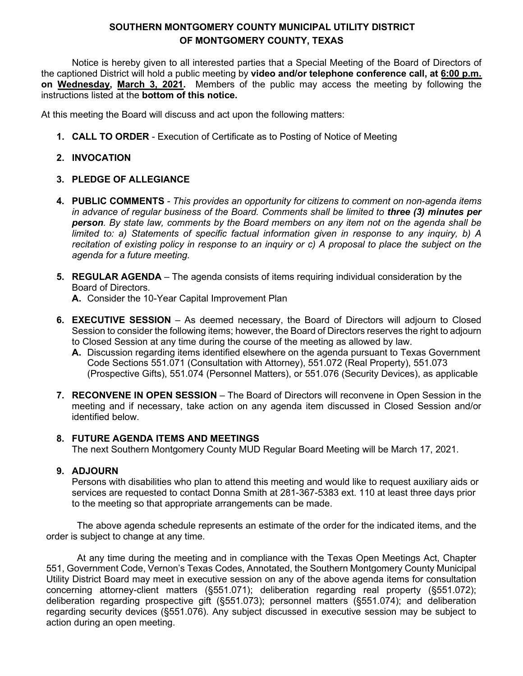Notice is hereby given to all interested parties that a Special Meeting of the Board of Directors of the captioned District will hold a public meeting by **video and/or telephone conference call, at 6:00 p.m. on Wednesday, March 3, 2021.** Members of the public may access the meeting by following the instructions listed at the **bottom of this notice.**

At this meeting the Board will discuss and act upon the following matters:

**1. CALL TO ORDER** - Execution of Certificate as to Posting of Notice of Meeting

# **2. INVOCATION**

# **3. PLEDGE OF ALLEGIANCE**

- **4. PUBLIC COMMENTS**  *This provides an opportunity for citizens to comment on non-agenda items in advance of regular business of the Board. Comments shall be limited to three (3) minutes per person. By state law, comments by the Board members on any item not on the agenda shall be limited to: a) Statements of specific factual information given in response to any inquiry, b) A recitation of existing policy in response to an inquiry or c) A proposal to place the subject on the agenda for a future meeting.*
- **5. REGULAR AGENDA** The agenda consists of items requiring individual consideration by the Board of Directors.

**A.** Consider the 10-Year Capital Improvement Plan

- **6. EXECUTIVE SESSION** As deemed necessary, the Board of Directors will adjourn to Closed Session to consider the following items; however, the Board of Directors reserves the right to adjourn to Closed Session at any time during the course of the meeting as allowed by law.
	- **A.** Discussion regarding items identified elsewhere on the agenda pursuant to Texas Government Code Sections 551.071 (Consultation with Attorney), 551.072 (Real Property), 551.073 (Prospective Gifts), 551.074 (Personnel Matters), or 551.076 (Security Devices), as applicable
- **7. RECONVENE IN OPEN SESSION** The Board of Directors will reconvene in Open Session in the meeting and if necessary, take action on any agenda item discussed in Closed Session and/or identified below.

# **8. FUTURE AGENDA ITEMS AND MEETINGS**

The next Southern Montgomery County MUD Regular Board Meeting will be March 17, 2021.

## **9. ADJOURN**

Persons with disabilities who plan to attend this meeting and would like to request auxiliary aids or services are requested to contact Donna Smith at 281-367-5383 ext. 110 at least three days prior to the meeting so that appropriate arrangements can be made.

The above agenda schedule represents an estimate of the order for the indicated items, and the order is subject to change at any time.

At any time during the meeting and in compliance with the Texas Open Meetings Act, Chapter 551, Government Code, Vernon's Texas Codes, Annotated, the Southern Montgomery County Municipal Utility District Board may meet in executive session on any of the above agenda items for consultation concerning attorney-client matters (§551.071); deliberation regarding real property (§551.072); deliberation regarding prospective gift (§551.073); personnel matters (§551.074); and deliberation regarding security devices (§551.076). Any subject discussed in executive session may be subject to action during an open meeting.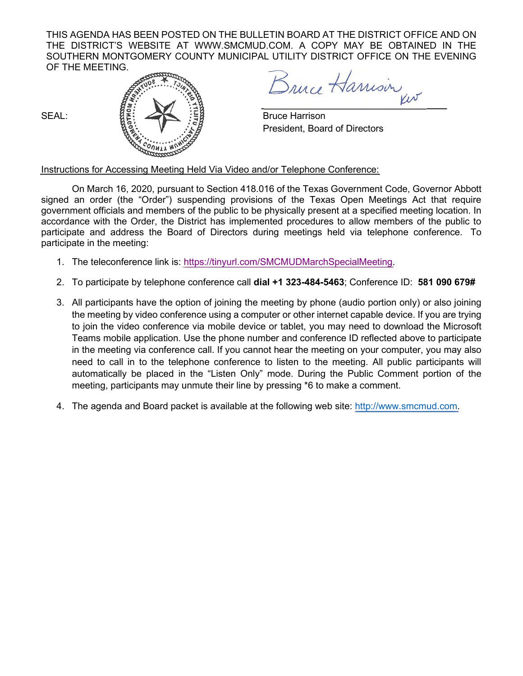THIS AGENDA HAS BEEN POSTED ON THE BULLETIN BOARD AT THE DISTRICT OFFICE AND ON THE DISTRICT'S WEBSITE AT [WWW.SMCMUD.COM.](http://www.smcmud.com/) A COPY MAY BE OBTAINED IN THE SOUTHERN MONTGOMERY COUNTY MUNICIPAL UTILITY DISTRICT OFFICE ON THE EVENING OF THE MEETING.



Bruce Harrison

President, Board of Directors

Instructions for Accessing Meeting Held Via Video and/or Telephone Conference:

- 1. The teleconference link is: [https://tinyurl.com/SMCMUDMarchSpecialMeeting.](https://tinyurl.com/SMCMUDMarchSpecialMeeting)
- 2. To participate by telephone conference call **dial +1 323-484-5463**; Conference ID: **581 090 679#**
- 3. All participants have the option of joining the meeting by phone (audio portion only) or also joining the meeting by video conference using a computer or other internet capable device. If you are trying to join the video conference via mobile device or tablet, you may need to download the Microsoft Teams mobile application. Use the phone number and conference ID reflected above to participate in the meeting via conference call. If you cannot hear the meeting on your computer, you may also need to call in to the telephone conference to listen to the meeting. All public participants will automatically be placed in the "Listen Only" mode. During the Public Comment portion of the meeting, participants may unmute their line by pressing \*6 to make a comment.
- 4. The agenda and Board packet is available at the following web site: [http://www.smcmud.com.](http://www.smcmud.com/)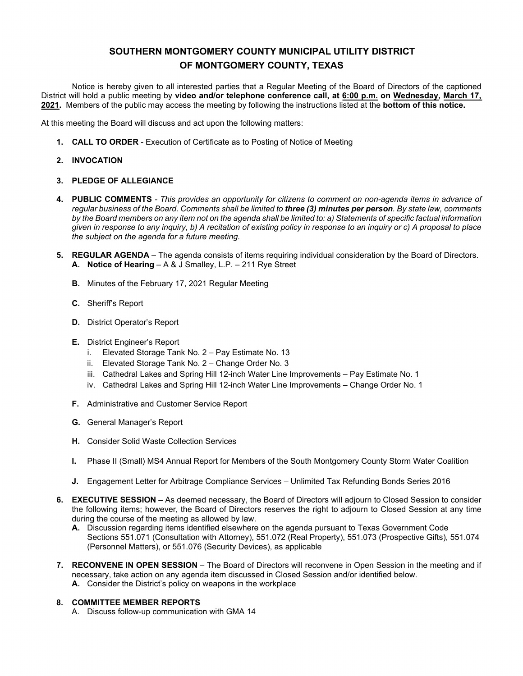Notice is hereby given to all interested parties that a Regular Meeting of the Board of Directors of the captioned District will hold a public meeting by **video and/or telephone conference call, at 6:00 p.m. on Wednesday, March 17, 2021.** Members of the public may access the meeting by following the instructions listed at the **bottom of this notice.**

At this meeting the Board will discuss and act upon the following matters:

**1. CALL TO ORDER** - Execution of Certificate as to Posting of Notice of Meeting

#### **2. INVOCATION**

#### **3. PLEDGE OF ALLEGIANCE**

- **4. PUBLIC COMMENTS**  *This provides an opportunity for citizens to comment on non-agenda items in advance of regular business of the Board. Comments shall be limited to three (3) minutes per person. By state law, comments by the Board members on any item not on the agenda shall be limited to: a) Statements of specific factual information given in response to any inquiry, b) A recitation of existing policy in response to an inquiry or c) A proposal to place the subject on the agenda for a future meeting.*
- **5. REGULAR AGENDA** The agenda consists of items requiring individual consideration by the Board of Directors. **A. Notice of Hearing** – A & J Smalley, L.P. – 211 Rye Street
	- **B.** Minutes of the February 17, 2021 Regular Meeting
	- **C.** Sheriff's Report
	- **D.** District Operator's Report
	- **E.** District Engineer's Report
		- i. Elevated Storage Tank No. 2 Pay Estimate No. 13
		- ii. Elevated Storage Tank No. 2 Change Order No. 3
		- iii. Cathedral Lakes and Spring Hill 12-inch Water Line Improvements Pay Estimate No. 1
		- iv. Cathedral Lakes and Spring Hill 12-inch Water Line Improvements Change Order No. 1
	- **F.** Administrative and Customer Service Report
	- **G.** General Manager's Report
	- **H.** Consider Solid Waste Collection Services
	- **I.** Phase II (Small) MS4 Annual Report for Members of the South Montgomery County Storm Water Coalition
	- **J.** Engagement Letter for Arbitrage Compliance Services Unlimited Tax Refunding Bonds Series 2016
- **6. EXECUTIVE SESSION** As deemed necessary, the Board of Directors will adjourn to Closed Session to consider the following items; however, the Board of Directors reserves the right to adjourn to Closed Session at any time during the course of the meeting as allowed by law.
	- **A.** Discussion regarding items identified elsewhere on the agenda pursuant to Texas Government Code Sections 551.071 (Consultation with Attorney), 551.072 (Real Property), 551.073 (Prospective Gifts), 551.074 (Personnel Matters), or 551.076 (Security Devices), as applicable
- **7. RECONVENE IN OPEN SESSION** The Board of Directors will reconvene in Open Session in the meeting and if necessary, take action on any agenda item discussed in Closed Session and/or identified below. **A.** Consider the District's policy on weapons in the workplace

#### **8. COMMITTEE MEMBER REPORTS**

A. Discuss follow-up communication with GMA 14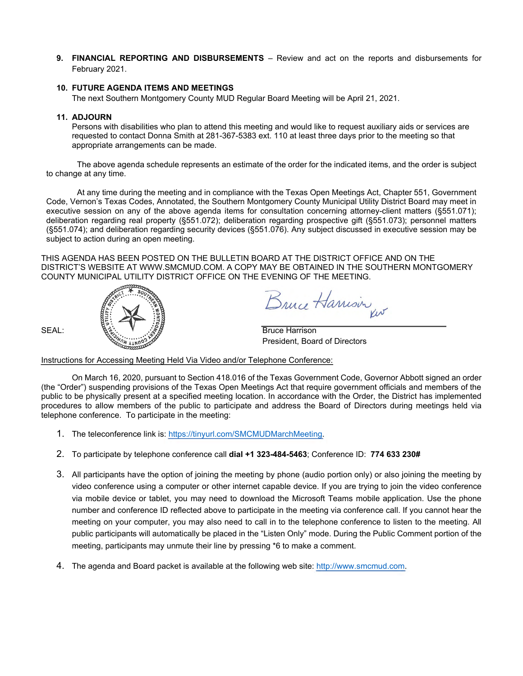**9. FINANCIAL REPORTING AND DISBURSEMENTS** – Review and act on the reports and disbursements for February 2021.

#### **10. FUTURE AGENDA ITEMS AND MEETINGS**

The next Southern Montgomery County MUD Regular Board Meeting will be April 21, 2021.

#### **11. ADJOURN**

Persons with disabilities who plan to attend this meeting and would like to request auxiliary aids or services are requested to contact Donna Smith at 281-367-5383 ext. 110 at least three days prior to the meeting so that appropriate arrangements can be made.

The above agenda schedule represents an estimate of the order for the indicated items, and the order is subject to change at any time.

At any time during the meeting and in compliance with the Texas Open Meetings Act, Chapter 551, Government Code, Vernon's Texas Codes, Annotated, the Southern Montgomery County Municipal Utility District Board may meet in executive session on any of the above agenda items for consultation concerning attorney-client matters (§551.071); deliberation regarding real property (§551.072); deliberation regarding prospective gift (§551.073); personnel matters (§551.074); and deliberation regarding security devices (§551.076). Any subject discussed in executive session may be subject to action during an open meeting.

THIS AGENDA HAS BEEN POSTED ON THE BULLETIN BOARD AT THE DISTRICT OFFICE AND ON THE DISTRICT'S WEBSITE AT [WWW.SMCMUD.COM.](http://www.smcmud.com/) A COPY MAY BE OBTAINED IN THE SOUTHERN MONTGOMERY COUNTY MUNICIPAL UTILITY DISTRICT OFFICE ON THE EVENING OF THE MEETING.



Bruce Harrison

President, Board of Directors

Instructions for Accessing Meeting Held Via Video and/or Telephone Conference:

- 1. The teleconference link is: [https://tinyurl.com/SMCMUDMarchMeeting.](https://tinyurl.com/SMCMUDMarchMeeting)
- 2. To participate by telephone conference call **dial +1 323-484-5463**; Conference ID: **774 633 230#**
- 3. All participants have the option of joining the meeting by phone (audio portion only) or also joining the meeting by video conference using a computer or other internet capable device. If you are trying to join the video conference via mobile device or tablet, you may need to download the Microsoft Teams mobile application. Use the phone number and conference ID reflected above to participate in the meeting via conference call. If you cannot hear the meeting on your computer, you may also need to call in to the telephone conference to listen to the meeting. All public participants will automatically be placed in the "Listen Only" mode. During the Public Comment portion of the meeting, participants may unmute their line by pressing \*6 to make a comment.
- 4. The agenda and Board packet is available at the following web site: [http://www.smcmud.com.](http://www.smcmud.com/)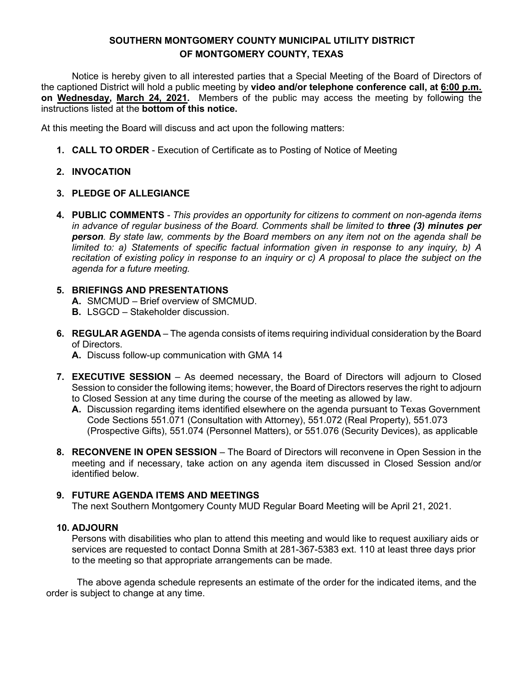Notice is hereby given to all interested parties that a Special Meeting of the Board of Directors of the captioned District will hold a public meeting by **video and/or telephone conference call, at 6:00 p.m. on Wednesday, March 24, 2021.** Members of the public may access the meeting by following the instructions listed at the **bottom of this notice.**

At this meeting the Board will discuss and act upon the following matters:

**1. CALL TO ORDER** - Execution of Certificate as to Posting of Notice of Meeting

# **2. INVOCATION**

## **3. PLEDGE OF ALLEGIANCE**

**4. PUBLIC COMMENTS** *- This provides an opportunity for citizens to comment on non-agenda items in advance of regular business of the Board. Comments shall be limited to three (3) minutes per person. By state law, comments by the Board members on any item not on the agenda shall be limited to: a) Statements of specific factual information given in response to any inquiry, b) A recitation of existing policy in response to an inquiry or c) A proposal to place the subject on the agenda for a future meeting.*

## **5. BRIEFINGS AND PRESENTATIONS**

- **A.** SMCMUD Brief overview of SMCMUD.
- **B.** LSGCD Stakeholder discussion.
- **6. REGULAR AGENDA** The agenda consists of items requiring individual consideration by the Board of Directors.
	- **A.** Discuss follow-up communication with GMA 14
- **7. EXECUTIVE SESSION** As deemed necessary, the Board of Directors will adjourn to Closed Session to consider the following items; however, the Board of Directors reserves the right to adjourn to Closed Session at any time during the course of the meeting as allowed by law.
	- **A.** Discussion regarding items identified elsewhere on the agenda pursuant to Texas Government Code Sections 551.071 (Consultation with Attorney), 551.072 (Real Property), 551.073 (Prospective Gifts), 551.074 (Personnel Matters), or 551.076 (Security Devices), as applicable
- **8. RECONVENE IN OPEN SESSION** The Board of Directors will reconvene in Open Session in the meeting and if necessary, take action on any agenda item discussed in Closed Session and/or identified below.

# **9. FUTURE AGENDA ITEMS AND MEETINGS**

The next Southern Montgomery County MUD Regular Board Meeting will be April 21, 2021.

## **10. ADJOURN**

Persons with disabilities who plan to attend this meeting and would like to request auxiliary aids or services are requested to contact Donna Smith at 281-367-5383 ext. 110 at least three days prior to the meeting so that appropriate arrangements can be made.

The above agenda schedule represents an estimate of the order for the indicated items, and the order is subject to change at any time.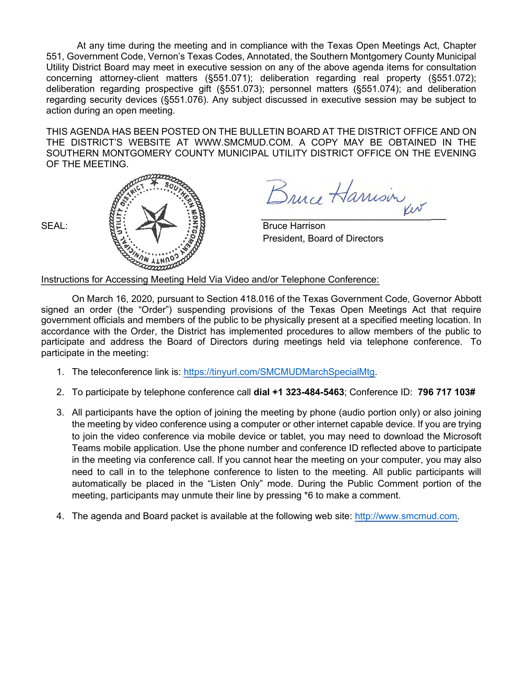At any time during the meeting and in compliance with the Texas Open Meetings Act, Chapter 551, Government Code, Vernon's Texas Codes, Annotated, the Southern Montgomery County Municipal Utility District Board may meet in executive session on any of the above agenda items for consultation concerning attorney-client matters (§551.071); deliberation regarding real property (§551.072); deliberation regarding prospective gift (§551.073); personnel matters (§551.074); and deliberation regarding security devices (§551.076). Any subject discussed in executive session may be subject to action during an open meeting.

THIS AGENDA HAS BEEN POSTED ON THE BULLETIN BOARD AT THE DISTRICT OFFICE AND ON THE DISTRICT'S WEBSITE AT [WWW.SMCMUD.COM.](http://www.smcmud.com/) A COPY MAY BE OBTAINED IN THE SOUTHERN MONTGOMERY COUNTY MUNICIPAL UTILITY DISTRICT OFFICE ON THE EVENING OF THE MEETING.



Bruce Harrison

President, Board of Directors

Instructions for Accessing Meeting Held Via Video and/or Telephone Conference:

- 1. The teleconference link is: [https://tinyurl.com/SMCMUDMarchSpecialMtg.](https://tinyurl.com/SMCMUDMarchSpecialMtg)
- 2. To participate by telephone conference call **dial +1 323-484-5463**; Conference ID: **796 717 103#**
- 3. All participants have the option of joining the meeting by phone (audio portion only) or also joining the meeting by video conference using a computer or other internet capable device. If you are trying to join the video conference via mobile device or tablet, you may need to download the Microsoft Teams mobile application. Use the phone number and conference ID reflected above to participate in the meeting via conference call. If you cannot hear the meeting on your computer, you may also need to call in to the telephone conference to listen to the meeting. All public participants will automatically be placed in the "Listen Only" mode. During the Public Comment portion of the meeting, participants may unmute their line by pressing \*6 to make a comment.
- 4. The agenda and Board packet is available at the following web site: [http://www.smcmud.com.](http://www.smcmud.com/)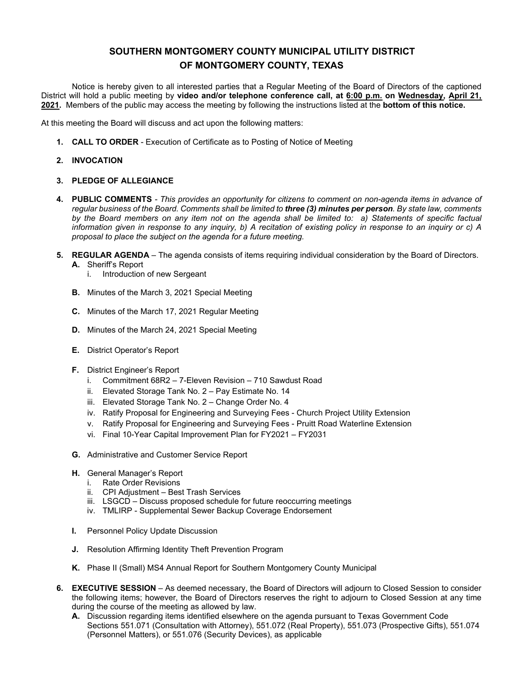Notice is hereby given to all interested parties that a Regular Meeting of the Board of Directors of the captioned District will hold a public meeting by **video and/or telephone conference call, at 6:00 p.m. on Wednesday, April 21, 2021.** Members of the public may access the meeting by following the instructions listed at the **bottom of this notice.**

At this meeting the Board will discuss and act upon the following matters:

**1. CALL TO ORDER** - Execution of Certificate as to Posting of Notice of Meeting

#### **2. INVOCATION**

#### **3. PLEDGE OF ALLEGIANCE**

- **4. PUBLIC COMMENTS**  *This provides an opportunity for citizens to comment on non-agenda items in advance of regular business of the Board. Comments shall be limited to three (3) minutes per person. By state law, comments by the Board members on any item not on the agenda shall be limited to: a) Statements of specific factual information given in response to any inquiry, b) A recitation of existing policy in response to an inquiry or c) A proposal to place the subject on the agenda for a future meeting.*
- **5. REGULAR AGENDA** The agenda consists of items requiring individual consideration by the Board of Directors. **A.** Sheriff's Report
	- i. Introduction of new Sergeant
	- **B.** Minutes of the March 3, 2021 Special Meeting
	- **C.** Minutes of the March 17, 2021 Regular Meeting
	- **D.** Minutes of the March 24, 2021 Special Meeting
	- **E.** District Operator's Report
	- **F.** District Engineer's Report
		- i. Commitment 68R2 7-Eleven Revision 710 Sawdust Road
		- ii. Elevated Storage Tank No. 2 Pay Estimate No. 14
		- iii. Elevated Storage Tank No. 2 Change Order No. 4
		- iv. Ratify Proposal for Engineering and Surveying Fees Church Project Utility Extension
		- v. Ratify Proposal for Engineering and Surveying Fees Pruitt Road Waterline Extension
		- vi. Final 10-Year Capital Improvement Plan for FY2021 FY2031
	- **G.** Administrative and Customer Service Report
	- **H.** General Manager's Report
		- i. Rate Order Revisions
		- ii. CPI Adjustment Best Trash Services
		- iii. LSGCD Discuss proposed schedule for future reoccurring meetings
		- iv. TMLIRP Supplemental Sewer Backup Coverage Endorsement
	- **I.** Personnel Policy Update Discussion
	- **J.** Resolution Affirming Identity Theft Prevention Program
	- **K.** Phase II (Small) MS4 Annual Report for Southern Montgomery County Municipal
- **6. EXECUTIVE SESSION** As deemed necessary, the Board of Directors will adjourn to Closed Session to consider the following items; however, the Board of Directors reserves the right to adjourn to Closed Session at any time during the course of the meeting as allowed by law.
	- **A.** Discussion regarding items identified elsewhere on the agenda pursuant to Texas Government Code Sections 551.071 (Consultation with Attorney), 551.072 (Real Property), 551.073 (Prospective Gifts), 551.074 (Personnel Matters), or 551.076 (Security Devices), as applicable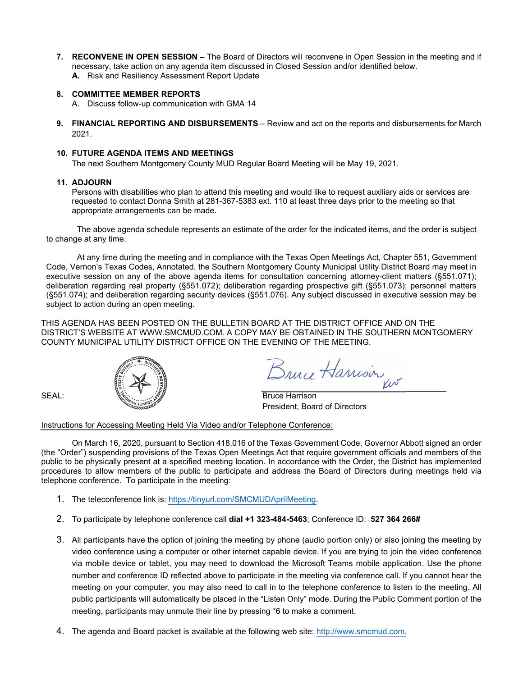**7. RECONVENE IN OPEN SESSION** – The Board of Directors will reconvene in Open Session in the meeting and if necessary, take action on any agenda item discussed in Closed Session and/or identified below. **A.** Risk and Resiliency Assessment Report Update

#### **8. COMMITTEE MEMBER REPORTS**

- A. Discuss follow-up communication with GMA 14
- **9. FINANCIAL REPORTING AND DISBURSEMENTS**  Review and act on the reports and disbursements for March 2021.

#### **10. FUTURE AGENDA ITEMS AND MEETINGS**

The next Southern Montgomery County MUD Regular Board Meeting will be May 19, 2021.

#### **11. ADJOURN**

Persons with disabilities who plan to attend this meeting and would like to request auxiliary aids or services are requested to contact Donna Smith at 281-367-5383 ext. 110 at least three days prior to the meeting so that appropriate arrangements can be made.

The above agenda schedule represents an estimate of the order for the indicated items, and the order is subject to change at any time.

At any time during the meeting and in compliance with the Texas Open Meetings Act, Chapter 551, Government Code, Vernon's Texas Codes, Annotated, the Southern Montgomery County Municipal Utility District Board may meet in executive session on any of the above agenda items for consultation concerning attorney-client matters (§551.071); deliberation regarding real property (§551.072); deliberation regarding prospective gift (§551.073); personnel matters (§551.074); and deliberation regarding security devices (§551.076). Any subject discussed in executive session may be subject to action during an open meeting.

THIS AGENDA HAS BEEN POSTED ON THE BULLETIN BOARD AT THE DISTRICT OFFICE AND ON THE DISTRICT'S WEBSITE AT [WWW.SMCMUD.COM.](http://www.smcmud.com/) A COPY MAY BE OBTAINED IN THE SOUTHERN MONTGOMERY COUNTY MUNICIPAL UTILITY DISTRICT OFFICE ON THE EVENING OF THE MEETING.



Bruce Harrison

President, Board of Directors

#### Instructions for Accessing Meeting Held Via Video and/or Telephone Conference:

- 1. The teleconference link is: [https://tinyurl.com/SMCMUDAprilMeeting.](https://tinyurl.com/SMCMUDAprilMeeting)
- 2. To participate by telephone conference call **dial +1 323-484-5463**; Conference ID: **527 364 266#**
- 3. All participants have the option of joining the meeting by phone (audio portion only) or also joining the meeting by video conference using a computer or other internet capable device. If you are trying to join the video conference via mobile device or tablet, you may need to download the Microsoft Teams mobile application. Use the phone number and conference ID reflected above to participate in the meeting via conference call. If you cannot hear the meeting on your computer, you may also need to call in to the telephone conference to listen to the meeting. All public participants will automatically be placed in the "Listen Only" mode. During the Public Comment portion of the meeting, participants may unmute their line by pressing \*6 to make a comment.
- 4. The agenda and Board packet is available at the following web site: [http://www.smcmud.com.](http://www.smcmud.com/)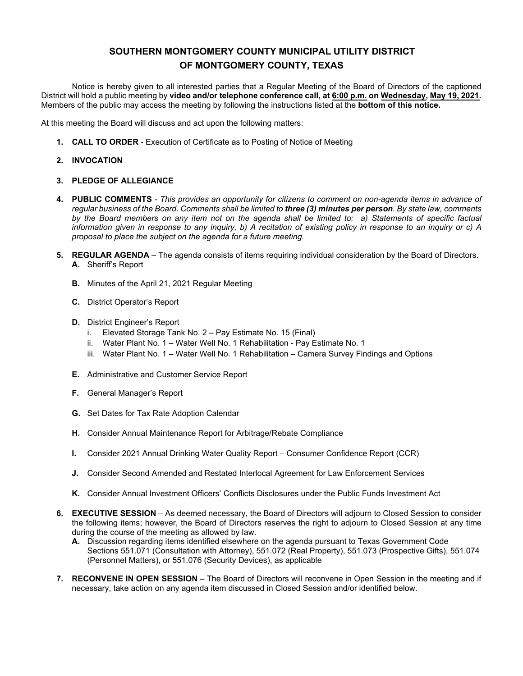Notice is hereby given to all interested parties that a Regular Meeting of the Board of Directors of the captioned District will hold a public meeting by **video and/or telephone conference call, at 6:00 p.m. on Wednesday, May 19, 2021.** Members of the public may access the meeting by following the instructions listed at the **bottom of this notice.**

At this meeting the Board will discuss and act upon the following matters:

- **1. CALL TO ORDER**  Execution of Certificate as to Posting of Notice of Meeting
- **2. INVOCATION**

#### **3. PLEDGE OF ALLEGIANCE**

- **4. PUBLIC COMMENTS**  *This provides an opportunity for citizens to comment on non-agenda items in advance of regular business of the Board. Comments shall be limited to three (3) minutes per person. By state law, comments by the Board members on any item not on the agenda shall be limited to: a) Statements of specific factual information given in response to any inquiry, b) A recitation of existing policy in response to an inquiry or c) A proposal to place the subject on the agenda for a future meeting.*
- **5. REGULAR AGENDA** The agenda consists of items requiring individual consideration by the Board of Directors. **A.** Sheriff's Report
	- **B.** Minutes of the April 21, 2021 Regular Meeting
	- **C.** District Operator's Report
	- **D.** District Engineer's Report
		- i. Elevated Storage Tank No. 2 Pay Estimate No. 15 (Final)
		- ii. Water Plant No. 1 Water Well No. 1 Rehabilitation Pay Estimate No. 1
		- iii. Water Plant No. 1 Water Well No. 1 Rehabilitation Camera Survey Findings and Options
	- **E.** Administrative and Customer Service Report
	- **F.** General Manager's Report
	- **G.** Set Dates for Tax Rate Adoption Calendar
	- **H.** Consider Annual Maintenance Report for Arbitrage/Rebate Compliance
	- **I.** Consider 2021 Annual Drinking Water Quality Report Consumer Confidence Report (CCR)
	- **J.** Consider Second Amended and Restated Interlocal Agreement for Law Enforcement Services
	- **K.** Consider Annual Investment Officers' Conflicts Disclosures under the Public Funds Investment Act
- **6. EXECUTIVE SESSION** As deemed necessary, the Board of Directors will adjourn to Closed Session to consider the following items; however, the Board of Directors reserves the right to adjourn to Closed Session at any time during the course of the meeting as allowed by law.
	- **A.** Discussion regarding items identified elsewhere on the agenda pursuant to Texas Government Code Sections 551.071 (Consultation with Attorney), 551.072 (Real Property), 551.073 (Prospective Gifts), 551.074 (Personnel Matters), or 551.076 (Security Devices), as applicable
- **7. RECONVENE IN OPEN SESSION** The Board of Directors will reconvene in Open Session in the meeting and if necessary, take action on any agenda item discussed in Closed Session and/or identified below.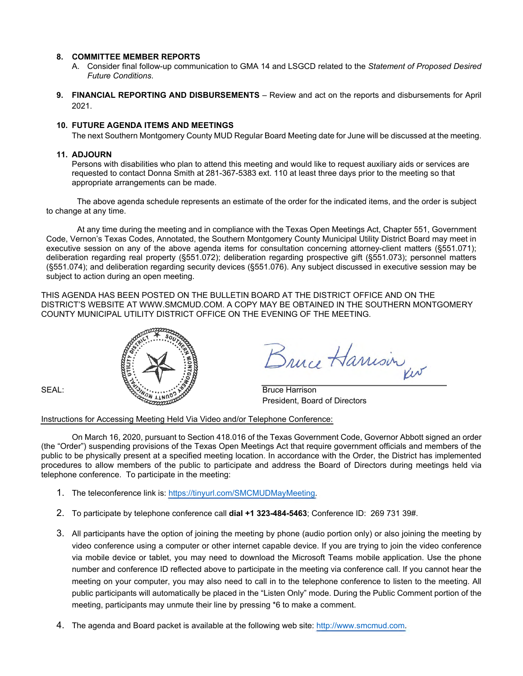- A. Consider final follow-up communication to GMA 14 and LSGCD related to the *Statement of Proposed Desired Future Conditions*.
- **9. FINANCIAL REPORTING AND DISBURSEMENTS**  Review and act on the reports and disbursements for April 2021.

#### **10. FUTURE AGENDA ITEMS AND MEETINGS**

The next Southern Montgomery County MUD Regular Board Meeting date for June will be discussed at the meeting.

#### **11. ADJOURN**

Persons with disabilities who plan to attend this meeting and would like to request auxiliary aids or services are requested to contact Donna Smith at 281-367-5383 ext. 110 at least three days prior to the meeting so that appropriate arrangements can be made.

The above agenda schedule represents an estimate of the order for the indicated items, and the order is subject to change at any time.

At any time during the meeting and in compliance with the Texas Open Meetings Act, Chapter 551, Government Code, Vernon's Texas Codes, Annotated, the Southern Montgomery County Municipal Utility District Board may meet in executive session on any of the above agenda items for consultation concerning attorney-client matters (§551.071); deliberation regarding real property (§551.072); deliberation regarding prospective gift (§551.073); personnel matters (§551.074); and deliberation regarding security devices (§551.076). Any subject discussed in executive session may be subject to action during an open meeting.

THIS AGENDA HAS BEEN POSTED ON THE BULLETIN BOARD AT THE DISTRICT OFFICE AND ON THE DISTRICT'S WEBSITE AT [WWW.SMCMUD.COM.](http://www.smcmud.com/) A COPY MAY BE OBTAINED IN THE SOUTHERN MONTGOMERY COUNTY MUNICIPAL UTILITY DISTRICT OFFICE ON THE EVENING OF THE MEETING.



Bruce Harrison

President, Board of Directors

#### Instructions for Accessing Meeting Held Via Video and/or Telephone Conference:

- 1. The teleconference link is: [https://tinyurl.com/SMCMUDMayMeeting.](https://tinyurl.com/SMCMUDMayMeeting)
- 2. To participate by telephone conference call **dial +1 323-484-5463**; Conference ID: 269 731 39#.
- 3. All participants have the option of joining the meeting by phone (audio portion only) or also joining the meeting by video conference using a computer or other internet capable device. If you are trying to join the video conference via mobile device or tablet, you may need to download the Microsoft Teams mobile application. Use the phone number and conference ID reflected above to participate in the meeting via conference call. If you cannot hear the meeting on your computer, you may also need to call in to the telephone conference to listen to the meeting. All public participants will automatically be placed in the "Listen Only" mode. During the Public Comment portion of the meeting, participants may unmute their line by pressing \*6 to make a comment.
- 4. The agenda and Board packet is available at the following web site: [http://www.smcmud.com.](http://www.smcmud.com/)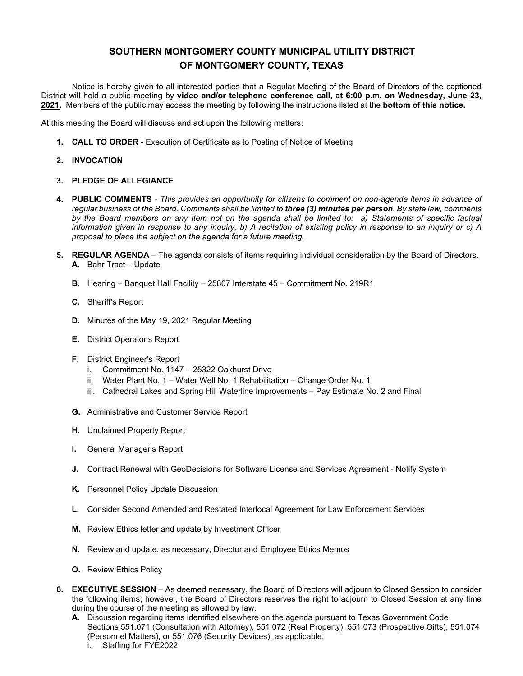Notice is hereby given to all interested parties that a Regular Meeting of the Board of Directors of the captioned District will hold a public meeting by **video and/or telephone conference call, at 6:00 p.m. on Wednesday, June 23, 2021.** Members of the public may access the meeting by following the instructions listed at the **bottom of this notice.**

At this meeting the Board will discuss and act upon the following matters:

**1. CALL TO ORDER** - Execution of Certificate as to Posting of Notice of Meeting

#### **2. INVOCATION**

#### **3. PLEDGE OF ALLEGIANCE**

- **4. PUBLIC COMMENTS**  *This provides an opportunity for citizens to comment on non-agenda items in advance of regular business of the Board. Comments shall be limited to three (3) minutes per person. By state law, comments by the Board members on any item not on the agenda shall be limited to: a) Statements of specific factual information given in response to any inquiry, b) A recitation of existing policy in response to an inquiry or c) A proposal to place the subject on the agenda for a future meeting.*
- **5. REGULAR AGENDA** The agenda consists of items requiring individual consideration by the Board of Directors. **A.** Bahr Tract – Update
	- **B.** Hearing Banquet Hall Facility 25807 Interstate 45 Commitment No. 219R1
	- **C.** Sheriff's Report
	- **D.** Minutes of the May 19, 2021 Regular Meeting
	- **E.** District Operator's Report
	- **F.** District Engineer's Report
		- i. Commitment No. 1147 25322 Oakhurst Drive
		- ii. Water Plant No. 1 Water Well No. 1 Rehabilitation Change Order No. 1
		- iii. Cathedral Lakes and Spring Hill Waterline Improvements Pay Estimate No. 2 and Final
	- **G.** Administrative and Customer Service Report
	- **H.** Unclaimed Property Report
	- **I.** General Manager's Report
	- **J.** Contract Renewal with GeoDecisions for Software License and Services Agreement Notify System
	- **K.** Personnel Policy Update Discussion
	- **L.** Consider Second Amended and Restated Interlocal Agreement for Law Enforcement Services
	- **M.** Review Ethics letter and update by Investment Officer
	- **N.** Review and update, as necessary, Director and Employee Ethics Memos
	- **O.** Review Ethics Policy
- **6. EXECUTIVE SESSION** As deemed necessary, the Board of Directors will adjourn to Closed Session to consider the following items; however, the Board of Directors reserves the right to adjourn to Closed Session at any time during the course of the meeting as allowed by law.
	- **A.** Discussion regarding items identified elsewhere on the agenda pursuant to Texas Government Code Sections 551.071 (Consultation with Attorney), 551.072 (Real Property), 551.073 (Prospective Gifts), 551.074 (Personnel Matters), or 551.076 (Security Devices), as applicable.
		- i. Staffing for FYE2022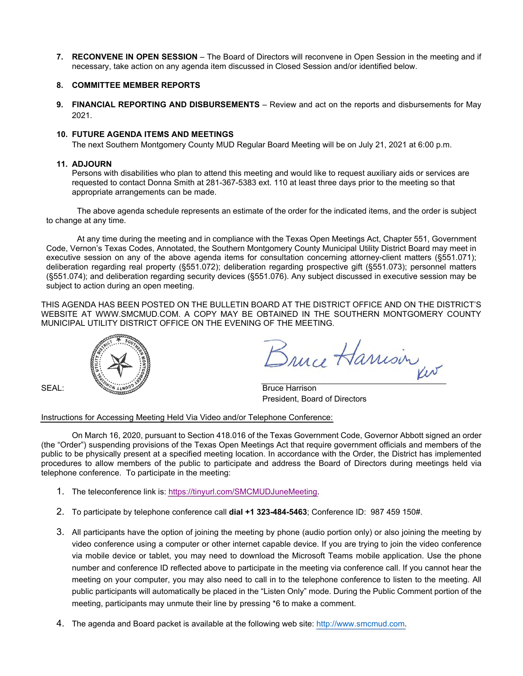**7. RECONVENE IN OPEN SESSION** – The Board of Directors will reconvene in Open Session in the meeting and if necessary, take action on any agenda item discussed in Closed Session and/or identified below.

#### **8. COMMITTEE MEMBER REPORTS**

**9. FINANCIAL REPORTING AND DISBURSEMENTS** – Review and act on the reports and disbursements for May 2021.

#### **10. FUTURE AGENDA ITEMS AND MEETINGS**

The next Southern Montgomery County MUD Regular Board Meeting will be on July 21, 2021 at 6:00 p.m.

#### **11. ADJOURN**

Persons with disabilities who plan to attend this meeting and would like to request auxiliary aids or services are requested to contact Donna Smith at 281-367-5383 ext. 110 at least three days prior to the meeting so that appropriate arrangements can be made.

The above agenda schedule represents an estimate of the order for the indicated items, and the order is subject to change at any time.

At any time during the meeting and in compliance with the Texas Open Meetings Act, Chapter 551, Government Code, Vernon's Texas Codes, Annotated, the Southern Montgomery County Municipal Utility District Board may meet in executive session on any of the above agenda items for consultation concerning attorney-client matters (§551.071); deliberation regarding real property (§551.072); deliberation regarding prospective gift (§551.073); personnel matters (§551.074); and deliberation regarding security devices (§551.076). Any subject discussed in executive session may be subject to action during an open meeting.

THIS AGENDA HAS BEEN POSTED ON THE BULLETIN BOARD AT THE DISTRICT OFFICE AND ON THE DISTRICT'S WEBSITE AT [WWW.SMCMUD.COM.](http://www.smcmud.com/) A COPY MAY BE OBTAINED IN THE SOUTHERN MONTGOMERY COUNTY MUNICIPAL UTILITY DISTRICT OFFICE ON THE EVENING OF THE MEETING.



Bruce Harrison

President, Board of Directors

#### Instructions for Accessing Meeting Held Via Video and/or Telephone Conference:

- 1. The teleconference link is: [https://tinyurl.com/SMCMUDJuneMeeting.](https://tinyurl.com/SMCMUDJuneMeeting)
- 2. To participate by telephone conference call **dial +1 323-484-5463**; Conference ID: 987 459 150#.
- 3. All participants have the option of joining the meeting by phone (audio portion only) or also joining the meeting by video conference using a computer or other internet capable device. If you are trying to join the video conference via mobile device or tablet, you may need to download the Microsoft Teams mobile application. Use the phone number and conference ID reflected above to participate in the meeting via conference call. If you cannot hear the meeting on your computer, you may also need to call in to the telephone conference to listen to the meeting. All public participants will automatically be placed in the "Listen Only" mode. During the Public Comment portion of the meeting, participants may unmute their line by pressing \*6 to make a comment.
- 4. The agenda and Board packet is available at the following web site: [http://www.smcmud.com.](http://www.smcmud.com/)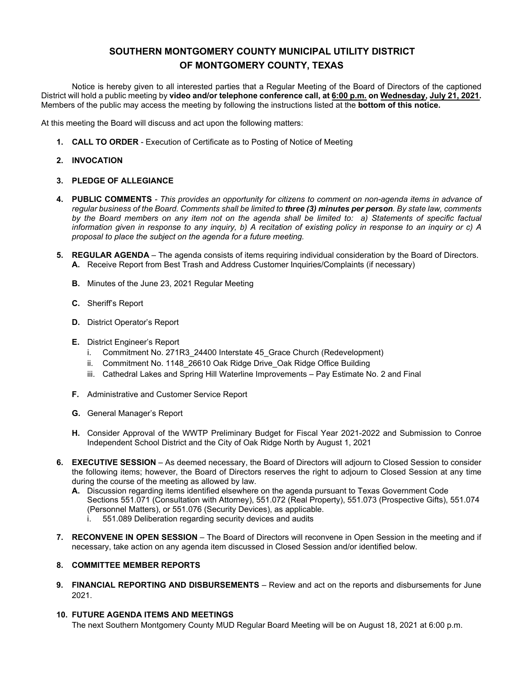Notice is hereby given to all interested parties that a Regular Meeting of the Board of Directors of the captioned District will hold a public meeting by **video and/or telephone conference call, at 6:00 p.m. on Wednesday, July 21, 2021.** Members of the public may access the meeting by following the instructions listed at the **bottom of this notice.**

At this meeting the Board will discuss and act upon the following matters:

**1. CALL TO ORDER** - Execution of Certificate as to Posting of Notice of Meeting

#### **2. INVOCATION**

#### **3. PLEDGE OF ALLEGIANCE**

- **4. PUBLIC COMMENTS**  *This provides an opportunity for citizens to comment on non-agenda items in advance of regular business of the Board. Comments shall be limited to three (3) minutes per person. By state law, comments by the Board members on any item not on the agenda shall be limited to: a) Statements of specific factual information given in response to any inquiry, b) A recitation of existing policy in response to an inquiry or c) A proposal to place the subject on the agenda for a future meeting.*
- **5. REGULAR AGENDA** The agenda consists of items requiring individual consideration by the Board of Directors. **A.** Receive Report from Best Trash and Address Customer Inquiries/Complaints (if necessary)
	- **B.** Minutes of the June 23, 2021 Regular Meeting
	- **C.** Sheriff's Report
	- **D.** District Operator's Report
	- **E.** District Engineer's Report
		- i. Commitment No. 271R3\_24400 Interstate 45\_Grace Church (Redevelopment)
		- ii. Commitment No. 1148 26610 Oak Ridge Drive Oak Ridge Office Building
		- iii. Cathedral Lakes and Spring Hill Waterline Improvements Pay Estimate No. 2 and Final
	- **F.** Administrative and Customer Service Report
	- **G.** General Manager's Report
	- **H.** Consider Approval of the WWTP Preliminary Budget for Fiscal Year 2021-2022 and Submission to Conroe Independent School District and the City of Oak Ridge North by August 1, 2021
- **6. EXECUTIVE SESSION** As deemed necessary, the Board of Directors will adjourn to Closed Session to consider the following items; however, the Board of Directors reserves the right to adjourn to Closed Session at any time during the course of the meeting as allowed by law.
	- **A.** Discussion regarding items identified elsewhere on the agenda pursuant to Texas Government Code Sections 551.071 (Consultation with Attorney), 551.072 (Real Property), 551.073 (Prospective Gifts), 551.074 (Personnel Matters), or 551.076 (Security Devices), as applicable.
		- i. 551.089 Deliberation regarding security devices and audits
- **7. RECONVENE IN OPEN SESSION** The Board of Directors will reconvene in Open Session in the meeting and if necessary, take action on any agenda item discussed in Closed Session and/or identified below.

#### **8. COMMITTEE MEMBER REPORTS**

**9. FINANCIAL REPORTING AND DISBURSEMENTS** – Review and act on the reports and disbursements for June 2021.

#### **10. FUTURE AGENDA ITEMS AND MEETINGS**

The next Southern Montgomery County MUD Regular Board Meeting will be on August 18, 2021 at 6:00 p.m.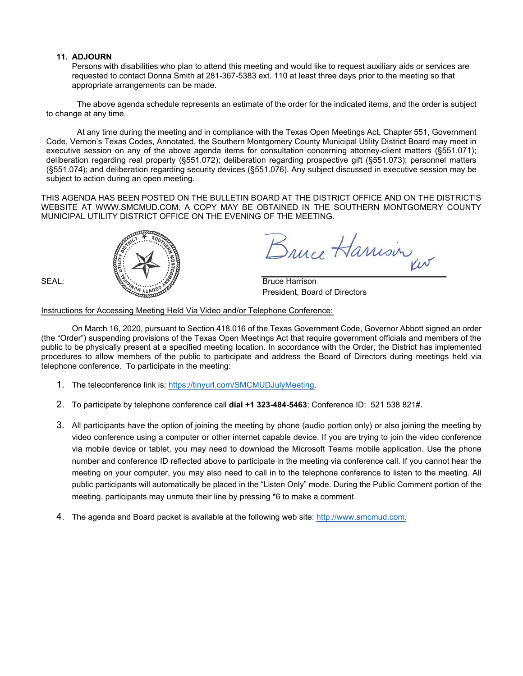#### **11. ADJOURN**

Persons with disabilities who plan to attend this meeting and would like to request auxiliary aids or services are requested to contact Donna Smith at 281-367-5383 ext. 110 at least three days prior to the meeting so that appropriate arrangements can be made.

The above agenda schedule represents an estimate of the order for the indicated items, and the order is subject to change at any time.

At any time during the meeting and in compliance with the Texas Open Meetings Act, Chapter 551, Government Code, Vernon's Texas Codes, Annotated, the Southern Montgomery County Municipal Utility District Board may meet in executive session on any of the above agenda items for consultation concerning attorney-client matters (§551.071); deliberation regarding real property (§551.072); deliberation regarding prospective gift (§551.073); personnel matters (§551.074); and deliberation regarding security devices (§551.076). Any subject discussed in executive session may be subject to action during an open meeting.

THIS AGENDA HAS BEEN POSTED ON THE BULLETIN BOARD AT THE DISTRICT OFFICE AND ON THE DISTRICT'S WEBSITE AT [WWW.SMCMUD.COM.](http://www.smcmud.com/) A COPY MAY BE OBTAINED IN THE SOUTHERN MONTGOMERY COUNTY MUNICIPAL UTILITY DISTRICT OFFICE ON THE EVENING OF THE MEETING.



Snuce Harrison

President, Board of Directors

Instructions for Accessing Meeting Held Via Video and/or Telephone Conference:

- 1. The teleconference link is: [https://tinyurl.com/SMCMUDJulyMeeting.](https://tinyurl.com/SMCMUDJulyMeeting)
- 2. To participate by telephone conference call **dial +1 323-484-5463**; Conference ID: 521 538 821#.
- 3. All participants have the option of joining the meeting by phone (audio portion only) or also joining the meeting by video conference using a computer or other internet capable device. If you are trying to join the video conference via mobile device or tablet, you may need to download the Microsoft Teams mobile application. Use the phone number and conference ID reflected above to participate in the meeting via conference call. If you cannot hear the meeting on your computer, you may also need to call in to the telephone conference to listen to the meeting. All public participants will automatically be placed in the "Listen Only" mode. During the Public Comment portion of the meeting, participants may unmute their line by pressing \*6 to make a comment.
- 4. The agenda and Board packet is available at the following web site: [http://www.smcmud.com.](http://www.smcmud.com/)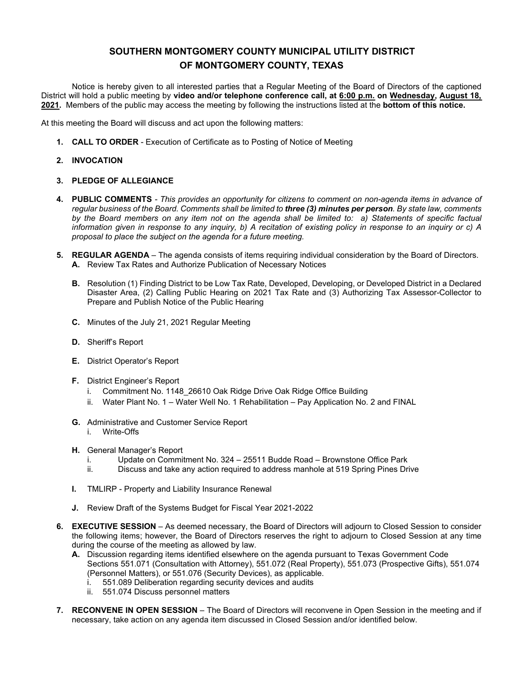Notice is hereby given to all interested parties that a Regular Meeting of the Board of Directors of the captioned District will hold a public meeting by **video and/or telephone conference call, at 6:00 p.m. on Wednesday, August 18, 2021.** Members of the public may access the meeting by following the instructions listed at the **bottom of this notice.**

At this meeting the Board will discuss and act upon the following matters:

**1. CALL TO ORDER** - Execution of Certificate as to Posting of Notice of Meeting

#### **2. INVOCATION**

#### **3. PLEDGE OF ALLEGIANCE**

- **4. PUBLIC COMMENTS**  *This provides an opportunity for citizens to comment on non-agenda items in advance of regular business of the Board. Comments shall be limited to three (3) minutes per person. By state law, comments by the Board members on any item not on the agenda shall be limited to: a) Statements of specific factual information given in response to any inquiry, b) A recitation of existing policy in response to an inquiry or c) A proposal to place the subject on the agenda for a future meeting.*
- **5. REGULAR AGENDA** The agenda consists of items requiring individual consideration by the Board of Directors. **A.** Review Tax Rates and Authorize Publication of Necessary Notices
	- **B.** Resolution (1) Finding District to be Low Tax Rate, Developed, Developing, or Developed District in a Declared Disaster Area, (2) Calling Public Hearing on 2021 Tax Rate and (3) Authorizing Tax Assessor-Collector to Prepare and Publish Notice of the Public Hearing
	- **C.** Minutes of the July 21, 2021 Regular Meeting
	- **D.** Sheriff's Report
	- **E.** District Operator's Report
	- **F.** District Engineer's Report
		- i. Commitment No. 1148 26610 Oak Ridge Drive Oak Ridge Office Building
		- ii. Water Plant No. 1 Water Well No. 1 Rehabilitation Pay Application No. 2 and FINAL
	- **G.** Administrative and Customer Service Report i. Write-Offs
	- **H.** General Manager's Report
		- i. Update on Commitment No. 324 25511 Budde Road Brownstone Office Park
		- Discuss and take any action required to address manhole at 519 Spring Pines Drive
	- **I.** TMLIRP Property and Liability Insurance Renewal
	- **J.** Review Draft of the Systems Budget for Fiscal Year 2021-2022
- **6. EXECUTIVE SESSION** As deemed necessary, the Board of Directors will adjourn to Closed Session to consider the following items; however, the Board of Directors reserves the right to adjourn to Closed Session at any time during the course of the meeting as allowed by law.
	- **A.** Discussion regarding items identified elsewhere on the agenda pursuant to Texas Government Code Sections 551.071 (Consultation with Attorney), 551.072 (Real Property), 551.073 (Prospective Gifts), 551.074 (Personnel Matters), or 551.076 (Security Devices), as applicable.
		- i. 551.089 Deliberation regarding security devices and audits
		- ii. 551.074 Discuss personnel matters
- **7. RECONVENE IN OPEN SESSION** The Board of Directors will reconvene in Open Session in the meeting and if necessary, take action on any agenda item discussed in Closed Session and/or identified below.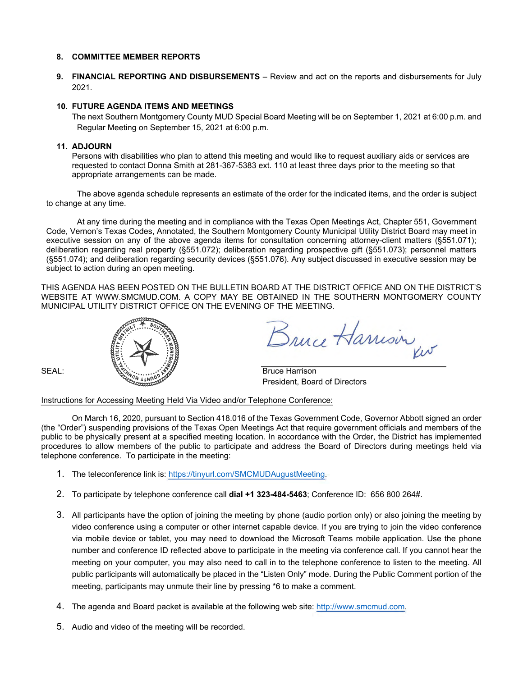**9. FINANCIAL REPORTING AND DISBURSEMENTS** – Review and act on the reports and disbursements for July 2021.

#### **10. FUTURE AGENDA ITEMS AND MEETINGS**

The next Southern Montgomery County MUD Special Board Meeting will be on September 1, 2021 at 6:00 p.m. and Regular Meeting on September 15, 2021 at 6:00 p.m.

#### **11. ADJOURN**

Persons with disabilities who plan to attend this meeting and would like to request auxiliary aids or services are requested to contact Donna Smith at 281-367-5383 ext. 110 at least three days prior to the meeting so that appropriate arrangements can be made.

The above agenda schedule represents an estimate of the order for the indicated items, and the order is subject to change at any time.

At any time during the meeting and in compliance with the Texas Open Meetings Act, Chapter 551, Government Code, Vernon's Texas Codes, Annotated, the Southern Montgomery County Municipal Utility District Board may meet in executive session on any of the above agenda items for consultation concerning attorney-client matters (§551.071); deliberation regarding real property (§551.072); deliberation regarding prospective gift (§551.073); personnel matters (§551.074); and deliberation regarding security devices (§551.076). Any subject discussed in executive session may be subject to action during an open meeting.

THIS AGENDA HAS BEEN POSTED ON THE BULLETIN BOARD AT THE DISTRICT OFFICE AND ON THE DISTRICT'S WEBSITE AT [WWW.SMCMUD.COM.](http://www.smcmud.com/) A COPY MAY BE OBTAINED IN THE SOUTHERN MONTGOMERY COUNTY MUNICIPAL UTILITY DISTRICT OFFICE ON THE EVENING OF THE MEETING.



Bruce Harrisin

President, Board of Directors

Instructions for Accessing Meeting Held Via Video and/or Telephone Conference:

- 1. The teleconference link is: [https://tinyurl.com/SMCMUDAugustMeeting.](https://tinyurl.com/SMCMUDAugustMeeting)
- 2. To participate by telephone conference call **dial +1 323-484-5463**; Conference ID: 656 800 264#.
- 3. All participants have the option of joining the meeting by phone (audio portion only) or also joining the meeting by video conference using a computer or other internet capable device. If you are trying to join the video conference via mobile device or tablet, you may need to download the Microsoft Teams mobile application. Use the phone number and conference ID reflected above to participate in the meeting via conference call. If you cannot hear the meeting on your computer, you may also need to call in to the telephone conference to listen to the meeting. All public participants will automatically be placed in the "Listen Only" mode. During the Public Comment portion of the meeting, participants may unmute their line by pressing \*6 to make a comment.
- 4. The agenda and Board packet is available at the following web site: [http://www.smcmud.com.](http://www.smcmud.com/)
- 5. Audio and video of the meeting will be recorded.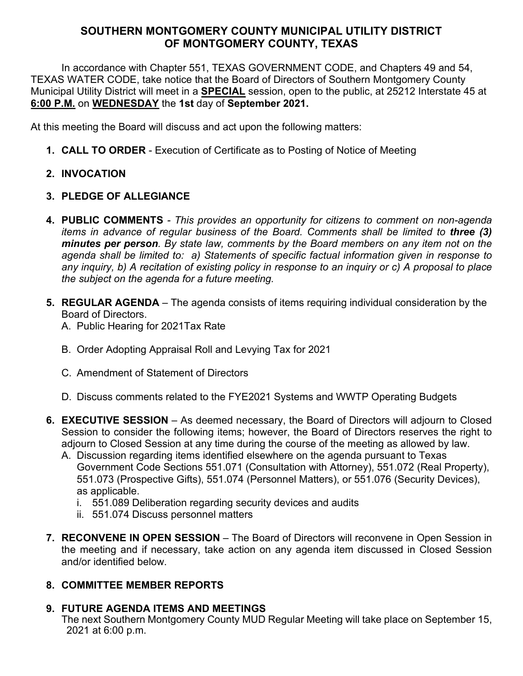In accordance with Chapter 551, TEXAS GOVERNMENT CODE, and Chapters 49 and 54, TEXAS WATER CODE, take notice that the Board of Directors of Southern Montgomery County Municipal Utility District will meet in a **SPECIAL** session, open to the public, at 25212 Interstate 45 at **6:00 P.M.** on **WEDNESDAY** the **1st** day of **September 2021.** 

At this meeting the Board will discuss and act upon the following matters:

- **1. CALL TO ORDER**  Execution of Certificate as to Posting of Notice of Meeting
- **2. INVOCATION**
- **3. PLEDGE OF ALLEGIANCE**
- **4. PUBLIC COMMENTS**  *This provides an opportunity for citizens to comment on non-agenda items in advance of regular business of the Board. Comments shall be limited to three (3) minutes per person. By state law, comments by the Board members on any item not on the agenda shall be limited to: a) Statements of specific factual information given in response to any inquiry, b) A recitation of existing policy in response to an inquiry or c) A proposal to place the subject on the agenda for a future meeting.*
- **5. REGULAR AGENDA** The agenda consists of items requiring individual consideration by the Board of Directors.
	- A. Public Hearing for 2021Tax Rate
	- B. Order Adopting Appraisal Roll and Levying Tax for 2021
	- C. Amendment of Statement of Directors
	- D. Discuss comments related to the FYE2021 Systems and WWTP Operating Budgets
- **6. EXECUTIVE SESSION** As deemed necessary, the Board of Directors will adjourn to Closed Session to consider the following items; however, the Board of Directors reserves the right to adjourn to Closed Session at any time during the course of the meeting as allowed by law.
	- A. Discussion regarding items identified elsewhere on the agenda pursuant to Texas Government Code Sections 551.071 (Consultation with Attorney), 551.072 (Real Property), 551.073 (Prospective Gifts), 551.074 (Personnel Matters), or 551.076 (Security Devices), as applicable.
		- i. 551.089 Deliberation regarding security devices and audits
		- ii. 551.074 Discuss personnel matters
- **7. RECONVENE IN OPEN SESSION** The Board of Directors will reconvene in Open Session in the meeting and if necessary, take action on any agenda item discussed in Closed Session and/or identified below.

# **8. COMMITTEE MEMBER REPORTS**

# **9. FUTURE AGENDA ITEMS AND MEETINGS**

The next Southern Montgomery County MUD Regular Meeting will take place on September 15, 2021 at 6:00 p.m.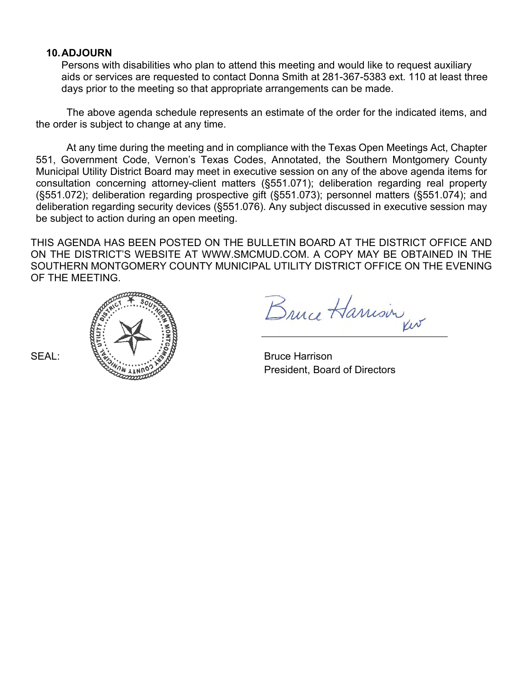## **10.ADJOURN**

Persons with disabilities who plan to attend this meeting and would like to request auxiliary aids or services are requested to contact Donna Smith at 281-367-5383 ext. 110 at least three days prior to the meeting so that appropriate arrangements can be made.

The above agenda schedule represents an estimate of the order for the indicated items, and the order is subject to change at any time.

At any time during the meeting and in compliance with the Texas Open Meetings Act, Chapter 551, Government Code, Vernon's Texas Codes, Annotated, the Southern Montgomery County Municipal Utility District Board may meet in executive session on any of the above agenda items for consultation concerning attorney-client matters (§551.071); deliberation regarding real property (§551.072); deliberation regarding prospective gift (§551.073); personnel matters (§551.074); and deliberation regarding security devices (§551.076). Any subject discussed in executive session may be subject to action during an open meeting.

THIS AGENDA HAS BEEN POSTED ON THE BULLETIN BOARD AT THE DISTRICT OFFICE AND ON THE DISTRICT'S WEBSITE AT [WWW.SMCMUD.COM.](http://www.smcmud.com/) A COPY MAY BE OBTAINED IN THE SOUTHERN MONTGOMERY COUNTY MUNICIPAL UTILITY DISTRICT OFFICE ON THE EVENING OF THE MEETING.



Bruce Harrison

President, Board of Directors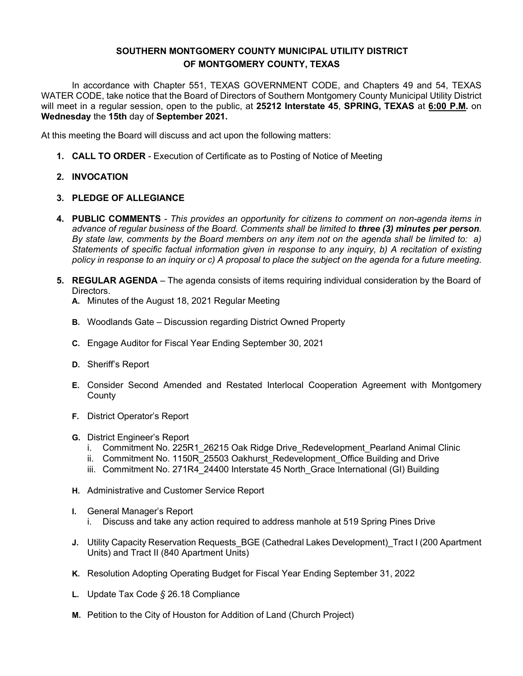In accordance with Chapter 551, TEXAS GOVERNMENT CODE, and Chapters 49 and 54, TEXAS WATER CODE, take notice that the Board of Directors of Southern Montgomery County Municipal Utility District will meet in a regular session, open to the public, at **25212 Interstate 45**, **SPRING, TEXAS** at **6:00 P.M.** on **Wednesday** the **15th** day of **September 2021.**

At this meeting the Board will discuss and act upon the following matters:

**1. CALL TO ORDER** - Execution of Certificate as to Posting of Notice of Meeting

### **2. INVOCATION**

### **3. PLEDGE OF ALLEGIANCE**

- **4. PUBLIC COMMENTS**  *This provides an opportunity for citizens to comment on non-agenda items in advance of regular business of the Board. Comments shall be limited to three (3) minutes per person. By state law, comments by the Board members on any item not on the agenda shall be limited to: a) Statements of specific factual information given in response to any inquiry, b) A recitation of existing policy in response to an inquiry or c) A proposal to place the subject on the agenda for a future meeting.*
- **5. REGULAR AGENDA** The agenda consists of items requiring individual consideration by the Board of Directors.
	- **A.** Minutes of the August 18, 2021 Regular Meeting
	- **B.** Woodlands Gate Discussion regarding District Owned Property
	- **C.** Engage Auditor for Fiscal Year Ending September 30, 2021
	- **D.** Sheriff's Report
	- **E.** Consider Second Amended and Restated Interlocal Cooperation Agreement with Montgomery **County**
	- **F.** District Operator's Report
	- **G.** District Engineer's Report
		- i. Commitment No. 225R1 26215 Oak Ridge Drive Redevelopment Pearland Animal Clinic
		- ii. Commitment No. 1150R 25503 Oakhurst Redevelopment Office Building and Drive
		- iii. Commitment No. 271R4 24400 Interstate 45 North Grace International (GI) Building
	- **H.** Administrative and Customer Service Report
	- **I.** General Manager's Report
		- i. Discuss and take any action required to address manhole at 519 Spring Pines Drive
	- **J.** Utility Capacity Reservation Requests BGE (Cathedral Lakes Development) Tract I (200 Apartment Units) and Tract II (840 Apartment Units)
	- **K.** Resolution Adopting Operating Budget for Fiscal Year Ending September 31, 2022
	- **L.** Update Tax Code *§* 26.18 Compliance
	- **M.** Petition to the City of Houston for Addition of Land (Church Project)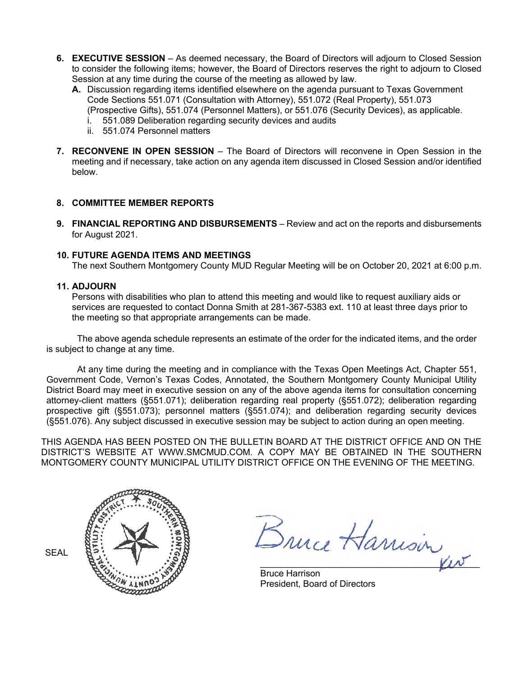- **6. EXECUTIVE SESSION** As deemed necessary, the Board of Directors will adjourn to Closed Session to consider the following items; however, the Board of Directors reserves the right to adjourn to Closed Session at any time during the course of the meeting as allowed by law.
	- **A.** Discussion regarding items identified elsewhere on the agenda pursuant to Texas Government Code Sections 551.071 (Consultation with Attorney), 551.072 (Real Property), 551.073 (Prospective Gifts), 551.074 (Personnel Matters), or 551.076 (Security Devices), as applicable.
		- i. 551.089 Deliberation regarding security devices and audits
		- ii. 551.074 Personnel matters
- **7. RECONVENE IN OPEN SESSION** The Board of Directors will reconvene in Open Session in the meeting and if necessary, take action on any agenda item discussed in Closed Session and/or identified below.

**9. FINANCIAL REPORTING AND DISBURSEMENTS** – Review and act on the reports and disbursements for August 2021.

#### **10. FUTURE AGENDA ITEMS AND MEETINGS**

The next Southern Montgomery County MUD Regular Meeting will be on October 20, 2021 at 6:00 p.m.

#### **11. ADJOURN**

Persons with disabilities who plan to attend this meeting and would like to request auxiliary aids or services are requested to contact Donna Smith at 281-367-5383 ext. 110 at least three days prior to the meeting so that appropriate arrangements can be made.

The above agenda schedule represents an estimate of the order for the indicated items, and the order is subject to change at any time.

At any time during the meeting and in compliance with the Texas Open Meetings Act, Chapter 551, Government Code, Vernon's Texas Codes, Annotated, the Southern Montgomery County Municipal Utility District Board may meet in executive session on any of the above agenda items for consultation concerning attorney-client matters (§551.071); deliberation regarding real property (§551.072); deliberation regarding prospective gift (§551.073); personnel matters (§551.074); and deliberation regarding security devices (§551.076). Any subject discussed in executive session may be subject to action during an open meeting.

THIS AGENDA HAS BEEN POSTED ON THE BULLETIN BOARD AT THE DISTRICT OFFICE AND ON THE DISTRICT'S WEBSITE AT [WWW.SMCMUD.COM.](http://www.smcmud.com/) A COPY MAY BE OBTAINED IN THE SOUTHERN MONTGOMERY COUNTY MUNICIPAL UTILITY DISTRICT OFFICE ON THE EVENING OF THE MEETING.



Bruce Harrisin

Bruce Harrison President, Board of Directors

**SEAL**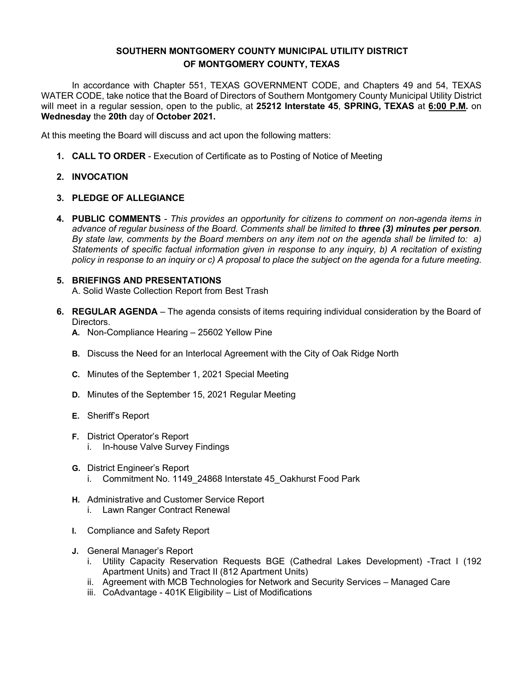In accordance with Chapter 551, TEXAS GOVERNMENT CODE, and Chapters 49 and 54, TEXAS WATER CODE, take notice that the Board of Directors of Southern Montgomery County Municipal Utility District will meet in a regular session, open to the public, at **25212 Interstate 45**, **SPRING, TEXAS** at **6:00 P.M.** on **Wednesday** the **20th** day of **October 2021.**

At this meeting the Board will discuss and act upon the following matters:

**1. CALL TO ORDER** - Execution of Certificate as to Posting of Notice of Meeting

### **2. INVOCATION**

### **3. PLEDGE OF ALLEGIANCE**

**4. PUBLIC COMMENTS** *- This provides an opportunity for citizens to comment on non-agenda items in advance of regular business of the Board. Comments shall be limited to three (3) minutes per person. By state law, comments by the Board members on any item not on the agenda shall be limited to: a) Statements of specific factual information given in response to any inquiry, b) A recitation of existing policy in response to an inquiry or c) A proposal to place the subject on the agenda for a future meeting.*

#### **5. BRIEFINGS AND PRESENTATIONS** A. Solid Waste Collection Report from Best Trash

- **6. REGULAR AGENDA** The agenda consists of items requiring individual consideration by the Board of Directors.
	- **A.** Non-Compliance Hearing 25602 Yellow Pine
	- **B.** Discuss the Need for an Interlocal Agreement with the City of Oak Ridge North
	- **C.** Minutes of the September 1, 2021 Special Meeting
	- **D.** Minutes of the September 15, 2021 Regular Meeting
	- **E.** Sheriff's Report
	- **F.** District Operator's Report i. In-house Valve Survey Findings
	- **G.** District Engineer's Report i. Commitment No. 1149 24868 Interstate 45 Oakhurst Food Park
	- **H.** Administrative and Customer Service Report
		- i. Lawn Ranger Contract Renewal
	- **I.** Compliance and Safety Report
	- **J.** General Manager's Report
		- i. Utility Capacity Reservation Requests BGE (Cathedral Lakes Development) -Tract I (192 Apartment Units) and Tract II (812 Apartment Units)
		- ii. Agreement with MCB Technologies for Network and Security Services Managed Care
		- iii. CoAdvantage 401K Eligibility List of Modifications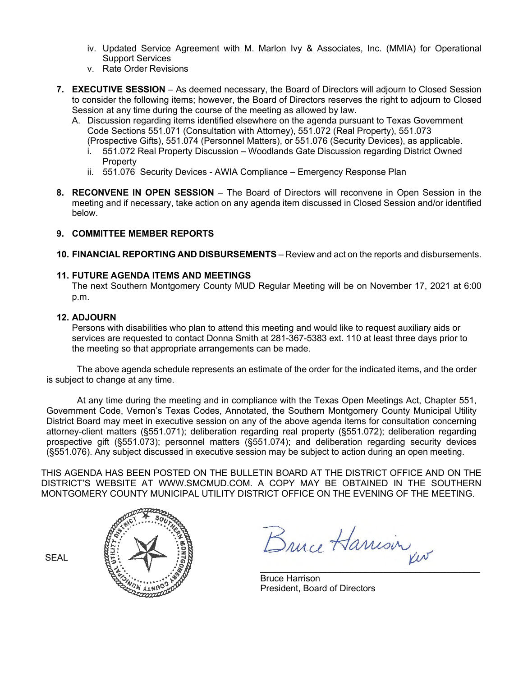- iv. Updated Service Agreement with M. Marlon Ivy & Associates, Inc. (MMIA) for Operational Support Services
- v. Rate Order Revisions
- **7. EXECUTIVE SESSION** As deemed necessary, the Board of Directors will adjourn to Closed Session to consider the following items; however, the Board of Directors reserves the right to adjourn to Closed Session at any time during the course of the meeting as allowed by law.
	- A. Discussion regarding items identified elsewhere on the agenda pursuant to Texas Government Code Sections 551.071 (Consultation with Attorney), 551.072 (Real Property), 551.073
		- (Prospective Gifts), 551.074 (Personnel Matters), or 551.076 (Security Devices), as applicable. i. 551.072 Real Property Discussion – Woodlands Gate Discussion regarding District Owned **Property**
		- ii. 551.076 Security Devices AWIA Compliance Emergency Response Plan
- **8. RECONVENE IN OPEN SESSION** The Board of Directors will reconvene in Open Session in the meeting and if necessary, take action on any agenda item discussed in Closed Session and/or identified below.

**10. FINANCIAL REPORTING AND DISBURSEMENTS** – Review and act on the reports and disbursements.

## **11. FUTURE AGENDA ITEMS AND MEETINGS**

The next Southern Montgomery County MUD Regular Meeting will be on November 17, 2021 at 6:00 p.m.

### **12. ADJOURN**

Persons with disabilities who plan to attend this meeting and would like to request auxiliary aids or services are requested to contact Donna Smith at 281-367-5383 ext. 110 at least three days prior to the meeting so that appropriate arrangements can be made.

The above agenda schedule represents an estimate of the order for the indicated items, and the order is subject to change at any time.

At any time during the meeting and in compliance with the Texas Open Meetings Act, Chapter 551, Government Code, Vernon's Texas Codes, Annotated, the Southern Montgomery County Municipal Utility District Board may meet in executive session on any of the above agenda items for consultation concerning attorney-client matters (§551.071); deliberation regarding real property (§551.072); deliberation regarding prospective gift (§551.073); personnel matters (§551.074); and deliberation regarding security devices (§551.076). Any subject discussed in executive session may be subject to action during an open meeting.

THIS AGENDA HAS BEEN POSTED ON THE BULLETIN BOARD AT THE DISTRICT OFFICE AND ON THE DISTRICT'S WEBSITE AT [WWW.SMCMUD.COM.](http://www.smcmud.com/) A COPY MAY BE OBTAINED IN THE SOUTHERN MONTGOMERY COUNTY MUNICIPAL UTILITY DISTRICT OFFICE ON THE EVENING OF THE MEETING.

SEAL



Bruce Harrison

Bruce Harrison President, Board of Directors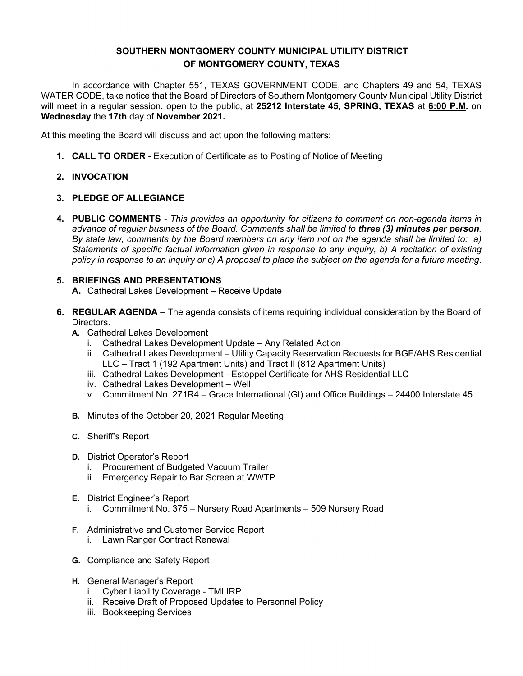In accordance with Chapter 551, TEXAS GOVERNMENT CODE, and Chapters 49 and 54, TEXAS WATER CODE, take notice that the Board of Directors of Southern Montgomery County Municipal Utility District will meet in a regular session, open to the public, at **25212 Interstate 45**, **SPRING, TEXAS** at **6:00 P.M.** on **Wednesday** the **17th** day of **November 2021.**

At this meeting the Board will discuss and act upon the following matters:

**1. CALL TO ORDER** - Execution of Certificate as to Posting of Notice of Meeting

## **2. INVOCATION**

## **3. PLEDGE OF ALLEGIANCE**

**4. PUBLIC COMMENTS** *- This provides an opportunity for citizens to comment on non-agenda items in advance of regular business of the Board. Comments shall be limited to three (3) minutes per person. By state law, comments by the Board members on any item not on the agenda shall be limited to: a) Statements of specific factual information given in response to any inquiry, b) A recitation of existing policy in response to an inquiry or c) A proposal to place the subject on the agenda for a future meeting.*

## **5. BRIEFINGS AND PRESENTATIONS**

- **A.** Cathedral Lakes Development Receive Update
- **6. REGULAR AGENDA** The agenda consists of items requiring individual consideration by the Board of Directors.
	- **A.** Cathedral Lakes Development
		- i. Cathedral Lakes Development Update Any Related Action
		- ii. Cathedral Lakes Development Utility Capacity Reservation Requests for BGE/AHS Residential LLC – Tract 1 (192 Apartment Units) and Tract II (812 Apartment Units)
		- iii. Cathedral Lakes Development Estoppel Certificate for AHS Residential LLC
		- iv. Cathedral Lakes Development Well
		- v. Commitment No. 271R4 Grace International (GI) and Office Buildings 24400 Interstate 45
	- **B.** Minutes of the October 20, 2021 Regular Meeting
	- **C.** Sheriff's Report
	- **D.** District Operator's Report
		- i. Procurement of Budgeted Vacuum Trailer
		- ii. Emergency Repair to Bar Screen at WWTP
	- **E.** District Engineer's Report
		- i. Commitment No. 375 Nursery Road Apartments 509 Nursery Road
	- **F.** Administrative and Customer Service Report
		- i. Lawn Ranger Contract Renewal
	- **G.** Compliance and Safety Report
	- **H.** General Manager's Report
		- i. Cyber Liability Coverage TMLIRP
		- ii. Receive Draft of Proposed Updates to Personnel Policy
		- iii. Bookkeeping Services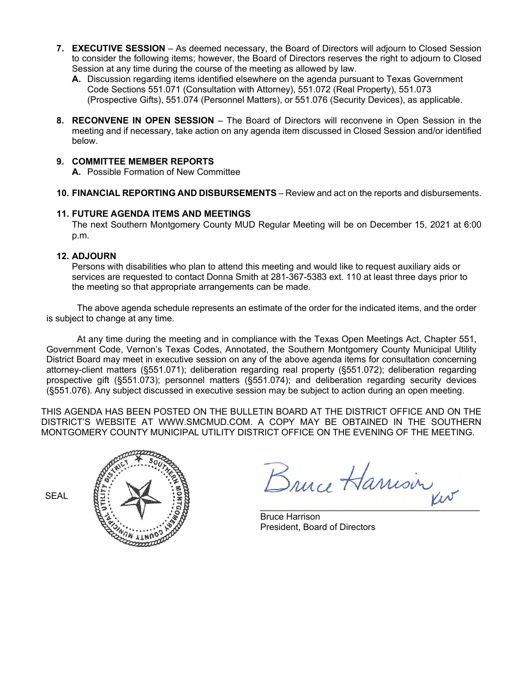- **7. EXECUTIVE SESSION** As deemed necessary, the Board of Directors will adjourn to Closed Session to consider the following items; however, the Board of Directors reserves the right to adjourn to Closed Session at any time during the course of the meeting as allowed by law.
	- **A.** Discussion regarding items identified elsewhere on the agenda pursuant to Texas Government Code Sections 551.071 (Consultation with Attorney), 551.072 (Real Property), 551.073 (Prospective Gifts), 551.074 (Personnel Matters), or 551.076 (Security Devices), as applicable.
- **8. RECONVENE IN OPEN SESSION** The Board of Directors will reconvene in Open Session in the meeting and if necessary, take action on any agenda item discussed in Closed Session and/or identified below.

**A.** Possible Formation of New Committee

**10. FINANCIAL REPORTING AND DISBURSEMENTS** – Review and act on the reports and disbursements.

## **11. FUTURE AGENDA ITEMS AND MEETINGS**

The next Southern Montgomery County MUD Regular Meeting will be on December 15, 2021 at 6:00 p.m.

## **12. ADJOURN**

Persons with disabilities who plan to attend this meeting and would like to request auxiliary aids or services are requested to contact Donna Smith at 281-367-5383 ext. 110 at least three days prior to the meeting so that appropriate arrangements can be made.

The above agenda schedule represents an estimate of the order for the indicated items, and the order is subject to change at any time.

At any time during the meeting and in compliance with the Texas Open Meetings Act, Chapter 551, Government Code, Vernon's Texas Codes, Annotated, the Southern Montgomery County Municipal Utility District Board may meet in executive session on any of the above agenda items for consultation concerning attorney-client matters (§551.071); deliberation regarding real property (§551.072); deliberation regarding prospective gift (§551.073); personnel matters (§551.074); and deliberation regarding security devices (§551.076). Any subject discussed in executive session may be subject to action during an open meeting.

THIS AGENDA HAS BEEN POSTED ON THE BULLETIN BOARD AT THE DISTRICT OFFICE AND ON THE DISTRICT'S WEBSITE AT [WWW.SMCMUD.COM.](http://www.smcmud.com/) A COPY MAY BE OBTAINED IN THE SOUTHERN MONTGOMERY COUNTY MUNICIPAL UTILITY DISTRICT OFFICE ON THE EVENING OF THE MEETING.



Bruce Harrison

Bruce Harrison President, Board of Directors

SEAL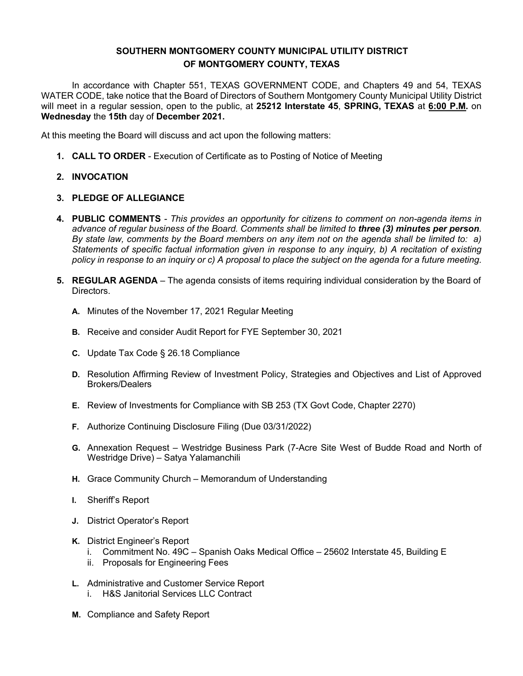In accordance with Chapter 551, TEXAS GOVERNMENT CODE, and Chapters 49 and 54, TEXAS WATER CODE, take notice that the Board of Directors of Southern Montgomery County Municipal Utility District will meet in a regular session, open to the public, at **25212 Interstate 45**, **SPRING, TEXAS** at **6:00 P.M.** on **Wednesday** the **15th** day of **December 2021.**

At this meeting the Board will discuss and act upon the following matters:

- **1. CALL TO ORDER**  Execution of Certificate as to Posting of Notice of Meeting
- **2. INVOCATION**
- **3. PLEDGE OF ALLEGIANCE**
- **4. PUBLIC COMMENTS**  *This provides an opportunity for citizens to comment on non-agenda items in advance of regular business of the Board. Comments shall be limited to three (3) minutes per person. By state law, comments by the Board members on any item not on the agenda shall be limited to: a) Statements of specific factual information given in response to any inquiry, b) A recitation of existing policy in response to an inquiry or c) A proposal to place the subject on the agenda for a future meeting.*
- **5. REGULAR AGENDA** The agenda consists of items requiring individual consideration by the Board of Directors.
	- **A.** Minutes of the November 17, 2021 Regular Meeting
	- **B.** Receive and consider Audit Report for FYE September 30, 2021
	- **C.** Update Tax Code § 26.18 Compliance
	- **D.** Resolution Affirming Review of Investment Policy, Strategies and Objectives and List of Approved Brokers/Dealers
	- **E.** Review of Investments for Compliance with SB 253 (TX Govt Code, Chapter 2270)
	- **F.** Authorize Continuing Disclosure Filing (Due 03/31/2022)
	- **G.** Annexation Request Westridge Business Park (7-Acre Site West of Budde Road and North of Westridge Drive) – Satya Yalamanchili
	- **H.** Grace Community Church Memorandum of Understanding
	- **I.** Sheriff's Report
	- **J.** District Operator's Report
	- **K.** District Engineer's Report
		- i. Commitment No. 49C Spanish Oaks Medical Office 25602 Interstate 45, Building E
		- ii. Proposals for Engineering Fees
	- **L.** Administrative and Customer Service Report i. H&S Janitorial Services LLC Contract
	- **M.** Compliance and Safety Report